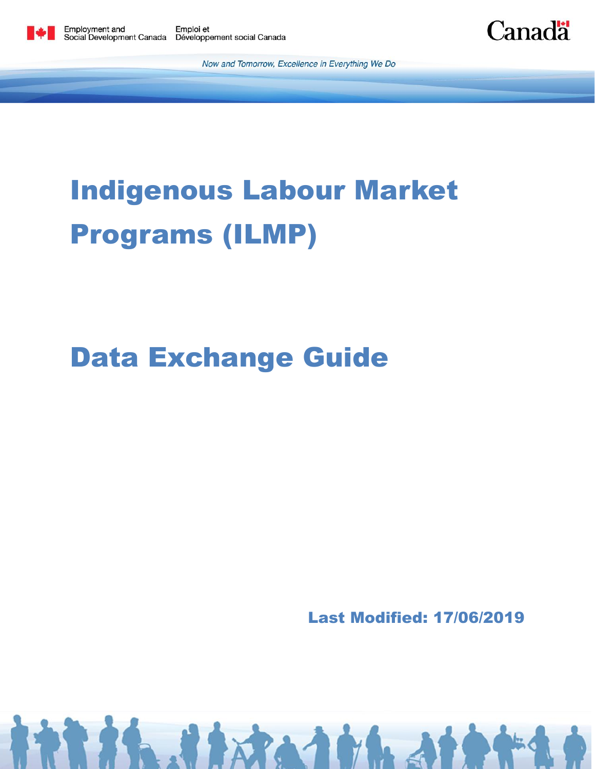



Now and Tomorrow, Excellence in Everything We Do

# Indigenous Labour Market Programs (ILMP)

## Data Exchange Guide

Last Modified: 17/06/2019

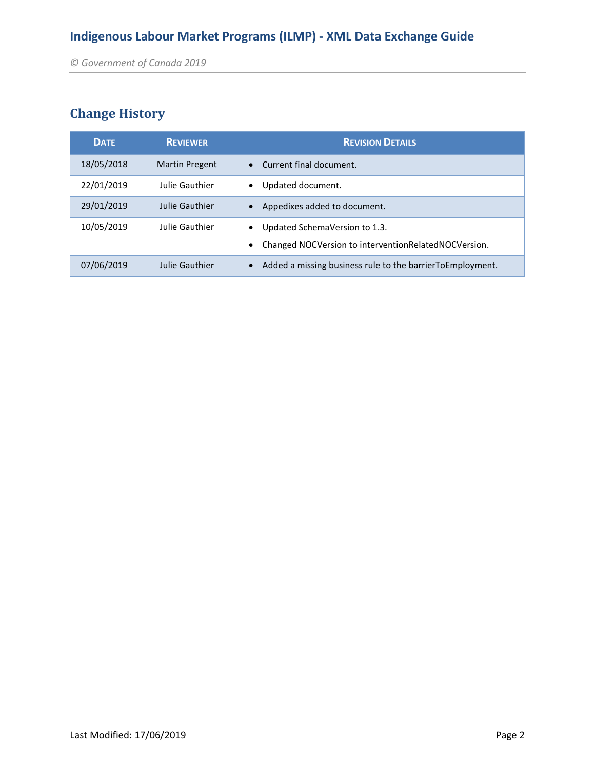### **Change History**

| <b>DATE</b> | <b>REVIEWER</b>       | <b>REVISION DETAILS</b>                                                               |
|-------------|-----------------------|---------------------------------------------------------------------------------------|
| 18/05/2018  | <b>Martin Pregent</b> | • Current final document.                                                             |
| 22/01/2019  | Julie Gauthier        | Updated document.<br>$\bullet$                                                        |
| 29/01/2019  | Julie Gauthier        | Appedixes added to document.                                                          |
| 10/05/2019  | Julie Gauthier        | Updated SchemaVersion to 1.3.<br>Changed NOCVersion to interventionRelatedNOCVersion. |
| 07/06/2019  | Julie Gauthier        | Added a missing business rule to the barrierToEmployment.<br>$\bullet$                |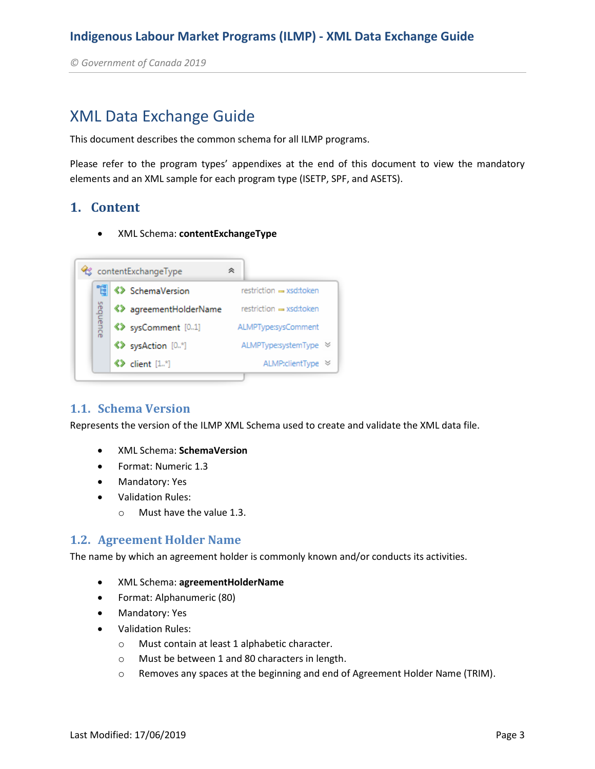*© Government of Canada 2019* 

### XML Data Exchange Guide

This document describes the common schema for all ILMP programs.

Please refer to the program types' appendixes at the end of this document to view the mandatory elements and an XML sample for each program type (ISETP, SPF, and ASETS).

#### **1. Content**

XML Schema: **contentExchangeType**



#### **1.1. Schema Version**

Represents the version of the ILMP XML Schema used to create and validate the XML data file.

- XML Schema: **SchemaVersion**
- Format: Numeric 1.3
- Mandatory: Yes
- Validation Rules:
	- o Must have the value 1.3.

#### **1.2. Agreement Holder Name**

The name by which an agreement holder is commonly known and/or conducts its activities.

- XML Schema: **agreementHolderName**
- Format: Alphanumeric (80)
- Mandatory: Yes
- Validation Rules:
	- o Must contain at least 1 alphabetic character.
	- o Must be between 1 and 80 characters in length.
	- o Removes any spaces at the beginning and end of Agreement Holder Name (TRIM).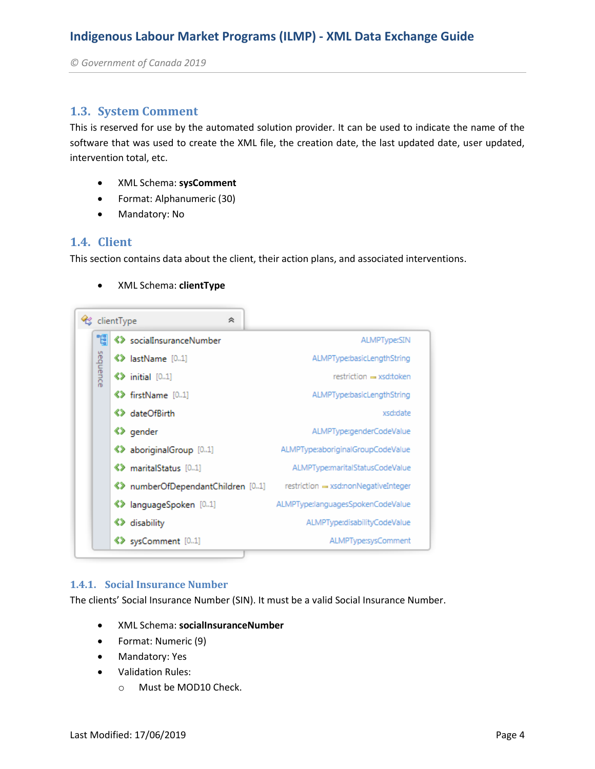*© Government of Canada 2019* 

#### **1.3. System Comment**

This is reserved for use by the automated solution provider. It can be used to indicate the name of the software that was used to create the XML file, the creation date, the last updated date, user updated, intervention total, etc.

- XML Schema: **sysComment**
- Format: Alphanumeric (30)
- Mandatory: No

#### **1.4. Client**

This section contains data about the client, their action plans, and associated interventions.

XML Schema: **clientType**



#### **1.4.1. Social Insurance Number**

The clients' Social Insurance Number (SIN). It must be a valid Social Insurance Number.

- XML Schema: **socialInsuranceNumber**
- Format: Numeric (9)
- Mandatory: Yes
- Validation Rules:
	- o Must be MOD10 Check.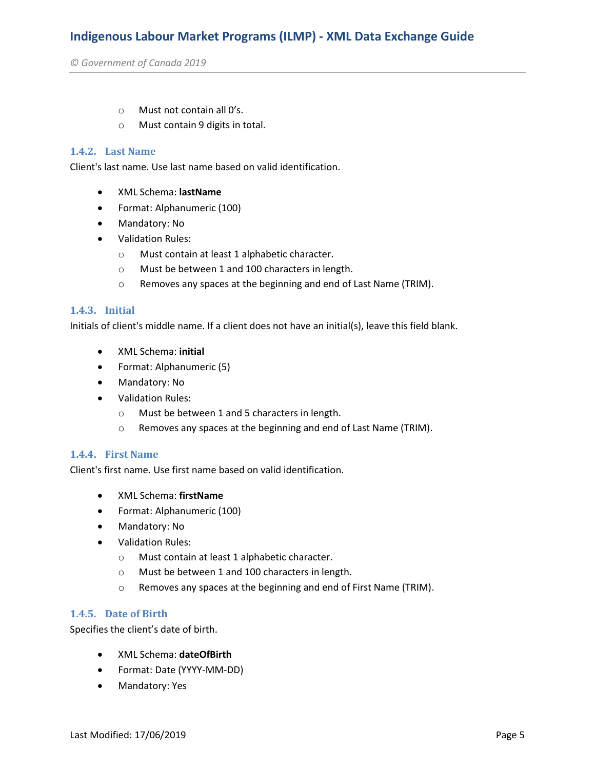*© Government of Canada 2019* 

- o Must not contain all 0's.
- o Must contain 9 digits in total.

#### **1.4.2. Last Name**

Client's last name. Use last name based on valid identification.

- XML Schema: **lastName**
- Format: Alphanumeric (100)
- Mandatory: No
- Validation Rules:
	- o Must contain at least 1 alphabetic character.
	- o Must be between 1 and 100 characters in length.
	- o Removes any spaces at the beginning and end of Last Name (TRIM).

#### **1.4.3. Initial**

Initials of client's middle name. If a client does not have an initial(s), leave this field blank.

- XML Schema: **initial**
- Format: Alphanumeric (5)
- Mandatory: No
- Validation Rules:
	- o Must be between 1 and 5 characters in length.
	- o Removes any spaces at the beginning and end of Last Name (TRIM).

#### **1.4.4. First Name**

Client's first name. Use first name based on valid identification.

- XML Schema: **firstName**
- Format: Alphanumeric (100)
- Mandatory: No
- Validation Rules:
	- o Must contain at least 1 alphabetic character.
	- o Must be between 1 and 100 characters in length.
	- o Removes any spaces at the beginning and end of First Name (TRIM).

#### **1.4.5. Date of Birth**

Specifies the client's date of birth.

- XML Schema: **dateOfBirth**
- Format: Date (YYYY-MM-DD)
- Mandatory: Yes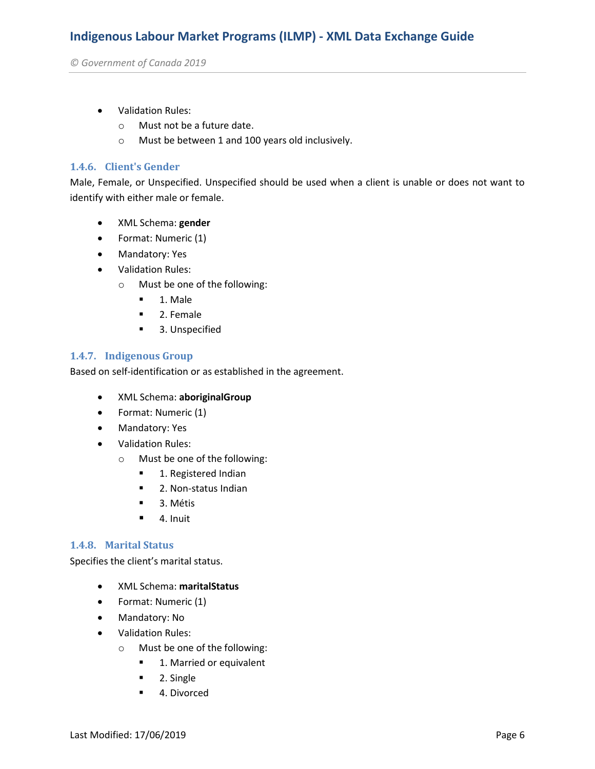*© Government of Canada 2019* 

- Validation Rules:
	- o Must not be a future date.
	- o Must be between 1 and 100 years old inclusively.

#### **1.4.6. Client's Gender**

Male, Female, or Unspecified. Unspecified should be used when a client is unable or does not want to identify with either male or female.

- XML Schema: **gender**
- Format: Numeric (1)
- Mandatory: Yes
- Validation Rules:
	- o Must be one of the following:
		- 1. Male
		- 2. Female
		- **3. Unspecified**

#### **1.4.7. Indigenous Group**

Based on self-identification or as established in the agreement.

- XML Schema: **aboriginalGroup**
- Format: Numeric (1)
- Mandatory: Yes
- Validation Rules:
	- o Must be one of the following:
		- **1. Registered Indian**
		- **2. Non-status Indian**
		- 3. Métis
		- $\blacksquare$  4. Inuit

#### **1.4.8. Marital Status**

Specifies the client's marital status.

- XML Schema: **maritalStatus**
- Format: Numeric (1)
- Mandatory: No
- Validation Rules:
	- o Must be one of the following:
		- **1. Married or equivalent**
		- **2. Single**
		- 4. Divorced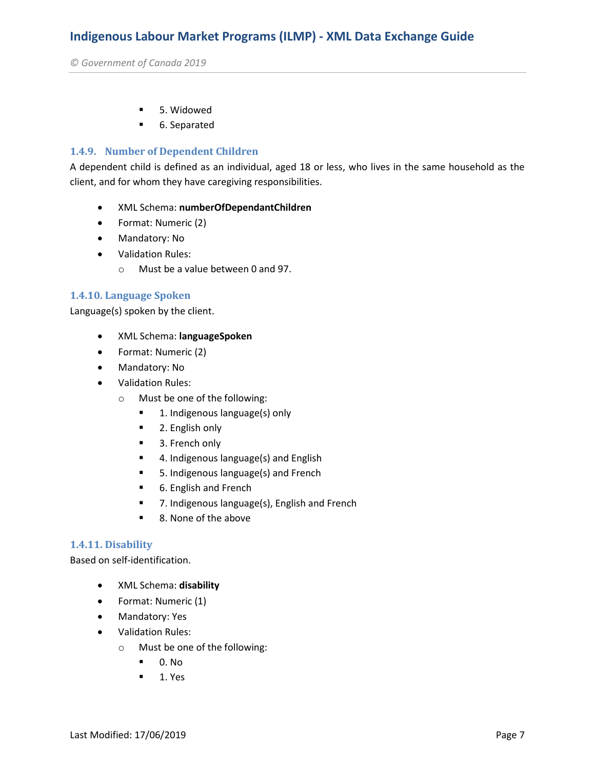*© Government of Canada 2019* 

- 5. Widowed
- 6. Separated

#### **1.4.9. Number of Dependent Children**

A dependent child is defined as an individual, aged 18 or less, who lives in the same household as the client, and for whom they have caregiving responsibilities.

- XML Schema: **numberOfDependantChildren**
- Format: Numeric (2)
- Mandatory: No
- Validation Rules:
	- o Must be a value between 0 and 97.

#### **1.4.10. Language Spoken**

Language(s) spoken by the client.

- XML Schema: **languageSpoken**
- Format: Numeric (2)
- Mandatory: No
- Validation Rules:
	- o Must be one of the following:
		- **1.** Indigenous language(s) only
		- **2. English only**
		- 3. French only
		- **4.** Indigenous language(s) and English
		- 5. Indigenous language(s) and French
		- 6. English and French
		- 7. Indigenous language(s), English and French
		- 8. None of the above

#### **1.4.11. Disability**

Based on self-identification.

- XML Schema: **disability**
- Format: Numeric (1)
- Mandatory: Yes
- Validation Rules:
	- o Must be one of the following:
		- $\blacksquare$  0. No
		- $-1.$  Yes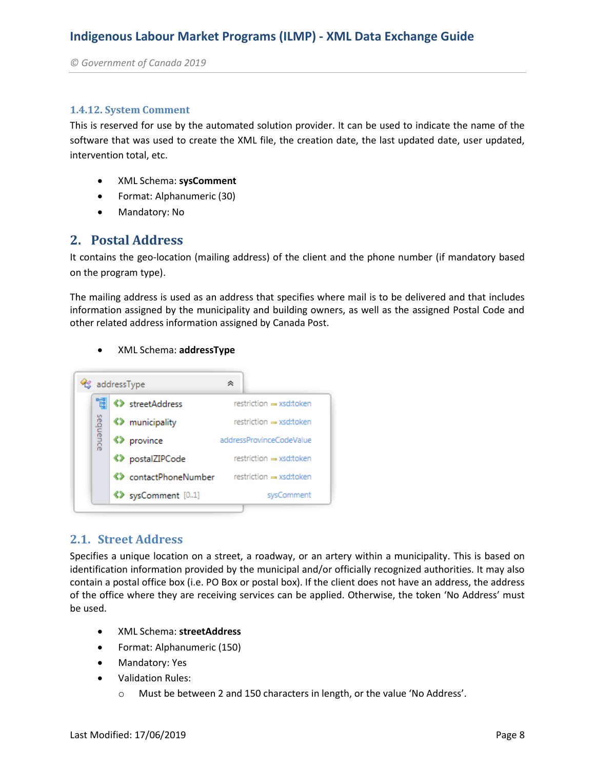*© Government of Canada 2019* 

#### **1.4.12. System Comment**

This is reserved for use by the automated solution provider. It can be used to indicate the name of the software that was used to create the XML file, the creation date, the last updated date, user updated, intervention total, etc.

- XML Schema: **sysComment**
- Format: Alphanumeric (30)
- Mandatory: No

#### **2. Postal Address**

It contains the geo-location (mailing address) of the client and the phone number (if mandatory based on the program type).

The mailing address is used as an address that specifies where mail is to be delivered and that includes information assigned by the municipality and building owners, as well as the assigned Postal Code and other related address information assigned by Canada Post.

#### XML Schema: **addressType**



#### **2.1. Street Address**

Specifies a unique location on a street, a roadway, or an artery within a municipality. This is based on identification information provided by the municipal and/or officially recognized authorities. It may also contain a postal office box (i.e. PO Box or postal box). If the client does not have an address, the address of the office where they are receiving services can be applied. Otherwise, the token 'No Address' must be used.

- XML Schema: **streetAddress**
- Format: Alphanumeric (150)
- Mandatory: Yes
- Validation Rules:
	- o Must be between 2 and 150 characters in length, or the value 'No Address'.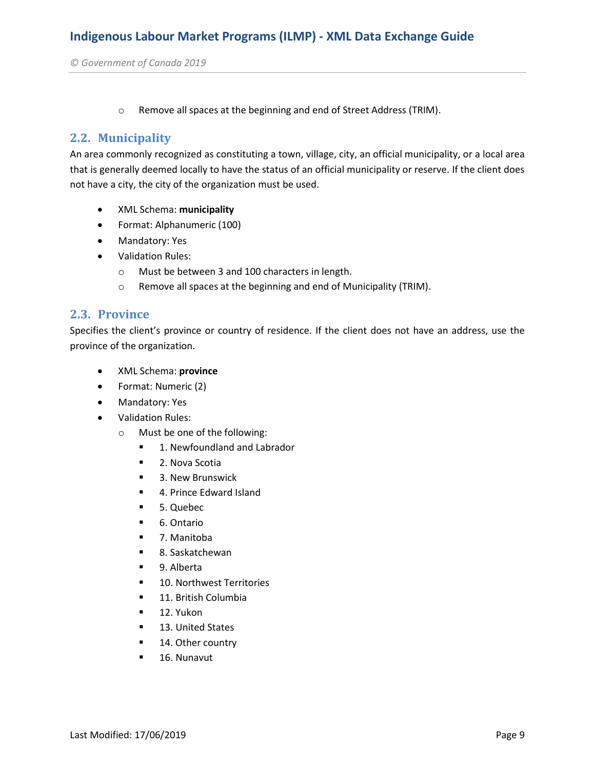o Remove all spaces at the beginning and end of Street Address (TRIM).

#### **2.2. Municipality**

An area commonly recognized as constituting a town, village, city, an official municipality, or a local area that is generally deemed locally to have the status of an official municipality or reserve. If the client does not have a city, the city of the organization must be used.

- XML Schema: **municipality**
- Format: Alphanumeric (100)
- Mandatory: Yes
- Validation Rules:
	- o Must be between 3 and 100 characters in length.
	- o Remove all spaces at the beginning and end of Municipality (TRIM).

#### **2.3. Province**

Specifies the client's province or country of residence. If the client does not have an address, use the province of the organization.

- XML Schema: **province**
- Format: Numeric (2)
- Mandatory: Yes
- Validation Rules:
	- o Must be one of the following:
		- **1. Newfoundland and Labrador**
		- **2. Nova Scotia**
		- 3. New Brunswick
		- 4. Prince Edward Island
		- 5. Quebec
		- 6. Ontario
		- 7. Manitoba
		- 8. Saskatchewan
		- 9. Alberta
		- **10. Northwest Territories**
		- **11. British Columbia**
		- $\blacksquare$  12. Yukon
		- **13. United States**
		- **14. Other country**
		- **16. Nunavut**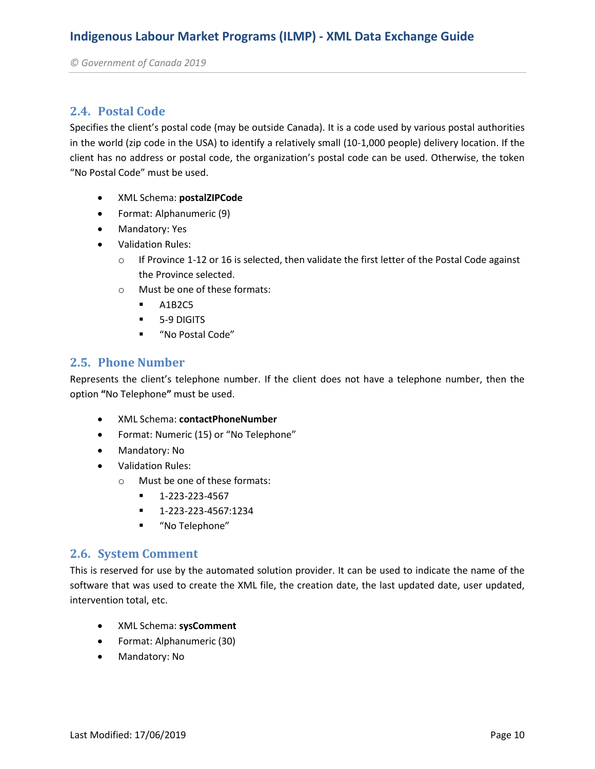#### **2.4. Postal Code**

Specifies the client's postal code (may be outside Canada). It is a code used by various postal authorities in the world (zip code in the USA) to identify a relatively small (10-1,000 people) delivery location. If the client has no address or postal code, the organization's postal code can be used. Otherwise, the token "No Postal Code" must be used.

- XML Schema: **postalZIPCode**
- Format: Alphanumeric (9)
- Mandatory: Yes
- Validation Rules:
	- o If Province 1-12 or 16 is selected, then validate the first letter of the Postal Code against the Province selected.
	- o Must be one of these formats:
		- $A1B2C5$
		- **5-9 DIGITS**
		- "No Postal Code"

#### **2.5. Phone Number**

Represents the client's telephone number. If the client does not have a telephone number, then the option **"**No Telephone**"** must be used.

- XML Schema: **contactPhoneNumber**
- Format: Numeric (15) or "No Telephone"
- Mandatory: No
- Validation Rules:
	- o Must be one of these formats:
		- $-1-223-223-4567$
		- 1-223-223-4567:1234
		- "No Telephone"

#### **2.6. System Comment**

This is reserved for use by the automated solution provider. It can be used to indicate the name of the software that was used to create the XML file, the creation date, the last updated date, user updated, intervention total, etc.

- XML Schema: **sysComment**
- Format: Alphanumeric (30)
- Mandatory: No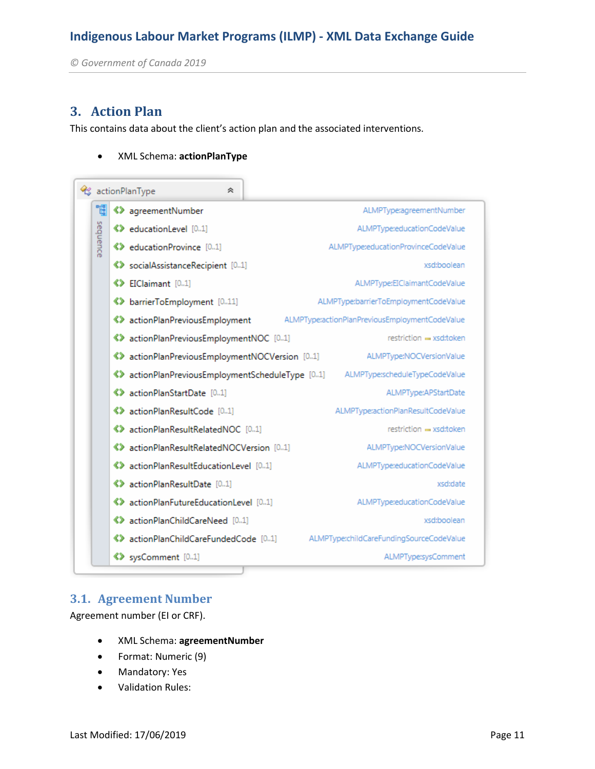*© Government of Canada 2019* 

#### **3. Action Plan**

This contains data about the client's action plan and the associated interventions.

#### XML Schema: **actionPlanType**

|          | actionPlanType<br>仌                              |                                                |
|----------|--------------------------------------------------|------------------------------------------------|
| 1        | <b>《》</b> agreementNumber                        | ALMPType:agreementNumber                       |
|          | <b>♦ 8 educationLevel</b> [01]                   | ALMPType:educationCodeValue                    |
| sequence | <b>K&gt;</b> educationProvince [01]              | ALMPType:educationProvinceCodeValue            |
|          | « > socialAssistanceRecipient [01]               | xsd:boolean                                    |
|          | <b>《》EIClaimant</b> [01]                         | ALMPType:EIClaimantCodeValue                   |
|          | <b>《》 barrierToEmployment</b> [011]              | ALMPType:barrierToEmploymentCodeValue          |
|          | «> actionPlanPreviousEmployment                  | ALMPType:actionPlanPreviousEmploymentCodeValue |
|          | «> actionPlanPreviousEmploymentNOC [01]          | restriction = xsd:token                        |
|          | ◆ actionPlanPreviousEmploymentNOCVersion [01]    | ALMPType:NOCVersionValue                       |
|          | «> actionPlanPreviousEmploymentScheduleType [01] | ALMPType:scheduleTypeCodeValue                 |
|          | <>>actionPlanStartDate [01]                      | ALMPType:APStartDate                           |
|          | <b>《》actionPlanResultCode</b> [01]               | ALMPType:actionPlanResultCodeValue             |
|          | <b>《》</b> actionPlanResultRelatedNOC [01]        | restriction = xsd:token                        |
|          | «> actionPlanResultRelatedNOCVersion [01]        | ALMPType:NOCVersionValue                       |
|          | «> actionPlanResultEducationLevel [01]           | ALMPType:educationCodeValue                    |
|          | <b>《》</b> actionPlanResultDate [01]              | xsd:date                                       |
|          | «> actionPlanFutureEducationLevel [01]           | ALMPType:educationCodeValue                    |
|          | <b>《》actionPlanChildCareNeed</b> [01]            | xsd:boolean                                    |
|          | «> actionPlanChildCareFundedCode [01]            | ALMPType:childCareFundingSourceCodeValue       |
|          | <b>《》</b> sysComment [01]                        | ALMPType:sysComment                            |

#### **3.1. Agreement Number**

Agreement number (EI or CRF).

- XML Schema: **agreementNumber**
- Format: Numeric (9)
- Mandatory: Yes
- Validation Rules: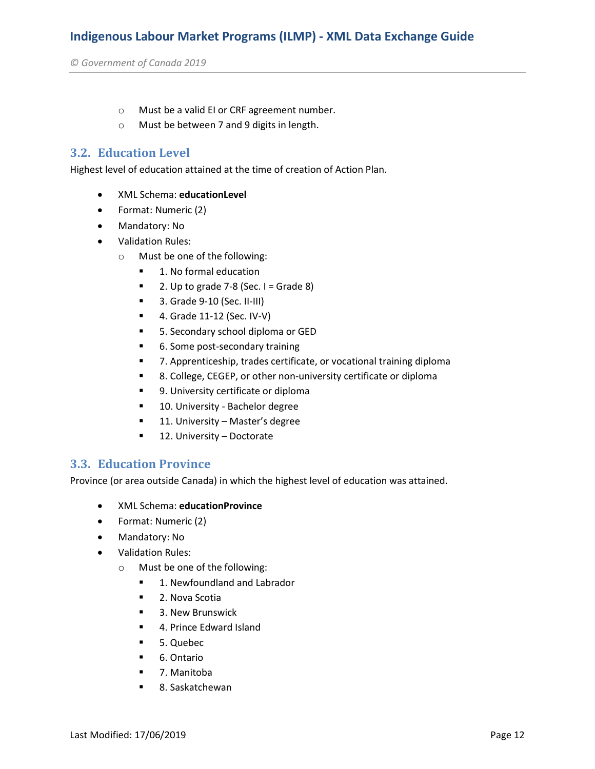- o Must be a valid EI or CRF agreement number.
- o Must be between 7 and 9 digits in length.

#### **3.2. Education Level**

Highest level of education attained at the time of creation of Action Plan.

- XML Schema: **educationLevel**
- Format: Numeric (2)
- Mandatory: No
- Validation Rules:
	- o Must be one of the following:
		- 1. No formal education
		- $\blacksquare$  2. Up to grade 7-8 (Sec. I = Grade 8)
		- **3. Grade 9-10 (Sec. II-III)**
		- **4. Grade 11-12 (Sec. IV-V)**
		- **5. Secondary school diploma or GED**
		- 6. Some post-secondary training
		- 7. Apprenticeship, trades certificate, or vocational training diploma
		- 8. College, CEGEP, or other non-university certificate or diploma
		- 9. University certificate or diploma
		- **10. University Bachelor degree**
		- **11. University Master's degree**
		- **12. University Doctorate**

#### **3.3. Education Province**

Province (or area outside Canada) in which the highest level of education was attained.

- XML Schema: **educationProvince**
- Format: Numeric (2)
- Mandatory: No
- Validation Rules:
	- o Must be one of the following:
		- **1. Newfoundland and Labrador**
		- **2. Nova Scotia**
		- 3. New Brunswick
		- 4. Prince Edward Island
		- 5. Quebec
		- 6. Ontario
		- 7. Manitoba
		- 8. Saskatchewan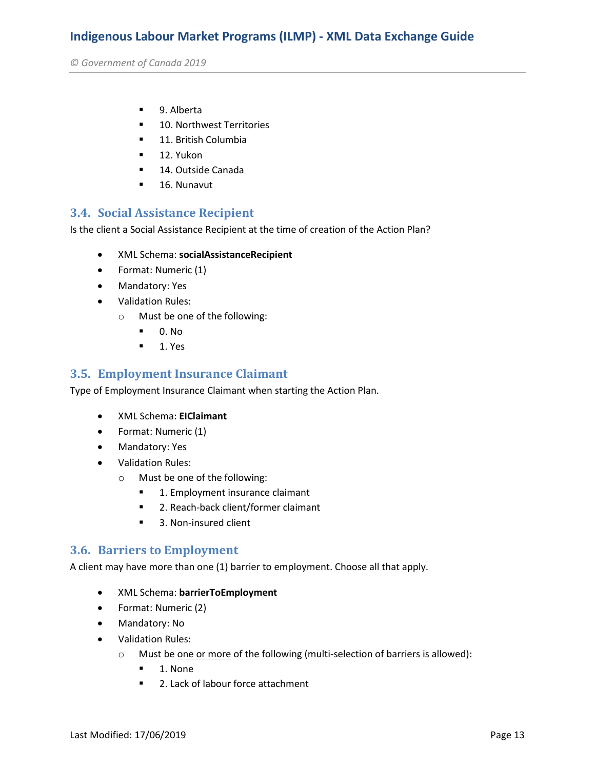*© Government of Canada 2019* 

- 9. Alberta
- **10. Northwest Territories**
- **11. British Columbia**
- $-12.$  Yukon
- **14. Outside Canada**
- **16. Nunavut**

#### **3.4. Social Assistance Recipient**

Is the client a Social Assistance Recipient at the time of creation of the Action Plan?

- XML Schema: **socialAssistanceRecipient**
- Format: Numeric (1)
- Mandatory: Yes
- Validation Rules:
	- o Must be one of the following:
		- $\blacksquare$  0. No
		- $-1.$  Yes

#### **3.5. Employment Insurance Claimant**

Type of Employment Insurance Claimant when starting the Action Plan.

- XML Schema: **EIClaimant**
- Format: Numeric (1)
- Mandatory: Yes
- Validation Rules:
	- o Must be one of the following:
		- **1. Employment insurance claimant**
		- 2. Reach-back client/former claimant
		- 3. Non-insured client

#### **3.6. Barriers to Employment**

A client may have more than one (1) barrier to employment. Choose all that apply.

- XML Schema: **barrierToEmployment**
- Format: Numeric (2)
- Mandatory: No
- Validation Rules:
	- o Must be one or more of the following (multi-selection of barriers is allowed):
		- $\blacksquare$  1. None
		- 2. Lack of labour force attachment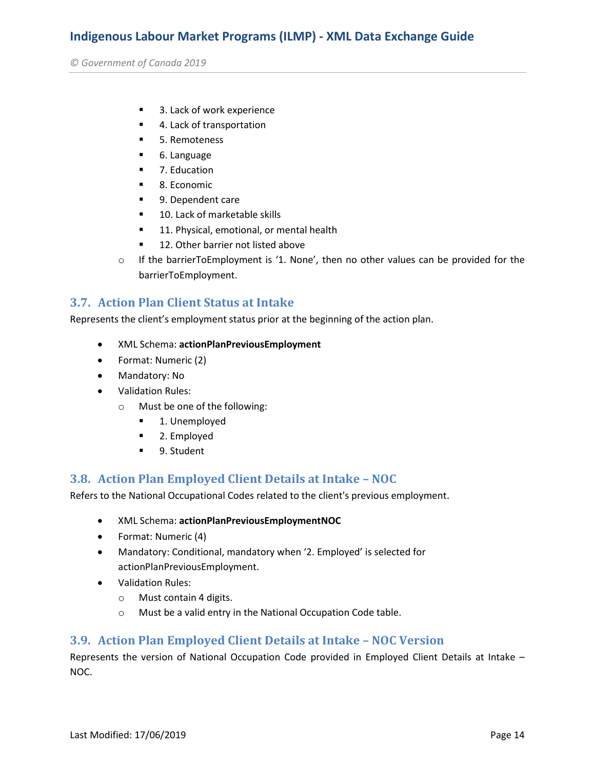*© Government of Canada 2019* 

- 3. Lack of work experience
- 4. Lack of transportation
- **5. Remoteness**
- 6. Language
- 7. Education
- 8. Economic
- 9. Dependent care
- 10. Lack of marketable skills
- **11. Physical, emotional, or mental health**
- 12. Other barrier not listed above
- o If the barrierToEmployment is '1. None', then no other values can be provided for the barrierToEmployment.

#### **3.7. Action Plan Client Status at Intake**

Represents the client's employment status prior at the beginning of the action plan.

- XML Schema: **actionPlanPreviousEmployment**
- Format: Numeric (2)
- Mandatory: No
- Validation Rules:
	- o Must be one of the following:
		- **1.** Unemployed
		- 2. Employed
		- 9. Student

#### **3.8. Action Plan Employed Client Details at Intake – NOC**

Refers to the National Occupational Codes related to the client's previous employment.

- XML Schema: **actionPlanPreviousEmploymentNOC**
- Format: Numeric (4)
- Mandatory: Conditional, mandatory when '2. Employed' is selected for actionPlanPreviousEmployment.
- Validation Rules:
	- o Must contain 4 digits.
	- o Must be a valid entry in the National Occupation Code table.

#### **3.9. Action Plan Employed Client Details at Intake – NOC Version**

Represents the version of National Occupation Code provided in Employed Client Details at Intake – NOC.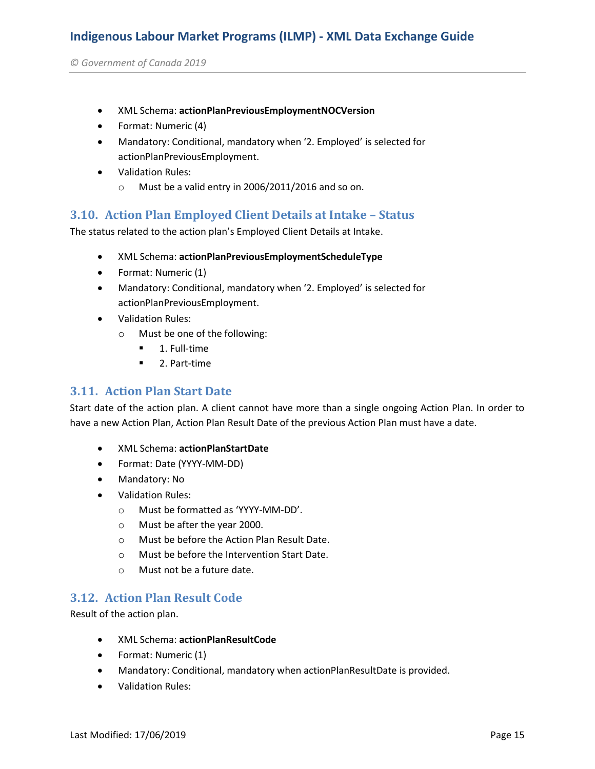*© Government of Canada 2019* 

- XML Schema: **actionPlanPreviousEmploymentNOCVersion**
- Format: Numeric (4)
- Mandatory: Conditional, mandatory when '2. Employed' is selected for actionPlanPreviousEmployment.
- Validation Rules:
	- o Must be a valid entry in 2006/2011/2016 and so on.

#### **3.10. Action Plan Employed Client Details at Intake – Status**

The status related to the action plan's Employed Client Details at Intake.

- XML Schema: **actionPlanPreviousEmploymentScheduleType**
- Format: Numeric (1)
- Mandatory: Conditional, mandatory when '2. Employed' is selected for actionPlanPreviousEmployment.
- Validation Rules:
	- o Must be one of the following:
		- $\blacksquare$  1. Full-time
		- **2. Part-time**

#### **3.11. Action Plan Start Date**

Start date of the action plan. A client cannot have more than a single ongoing Action Plan. In order to have a new Action Plan, Action Plan Result Date of the previous Action Plan must have a date.

- XML Schema: **actionPlanStartDate**
- Format: Date (YYYY-MM-DD)
- Mandatory: No
- Validation Rules:
	- o Must be formatted as 'YYYY-MM-DD'.
	- o Must be after the year 2000.
	- o Must be before the Action Plan Result Date.
	- o Must be before the Intervention Start Date.
	- o Must not be a future date.

#### **3.12. Action Plan Result Code**

Result of the action plan.

- XML Schema: **actionPlanResultCode**
- Format: Numeric (1)
- Mandatory: Conditional, mandatory when actionPlanResultDate is provided.
- Validation Rules: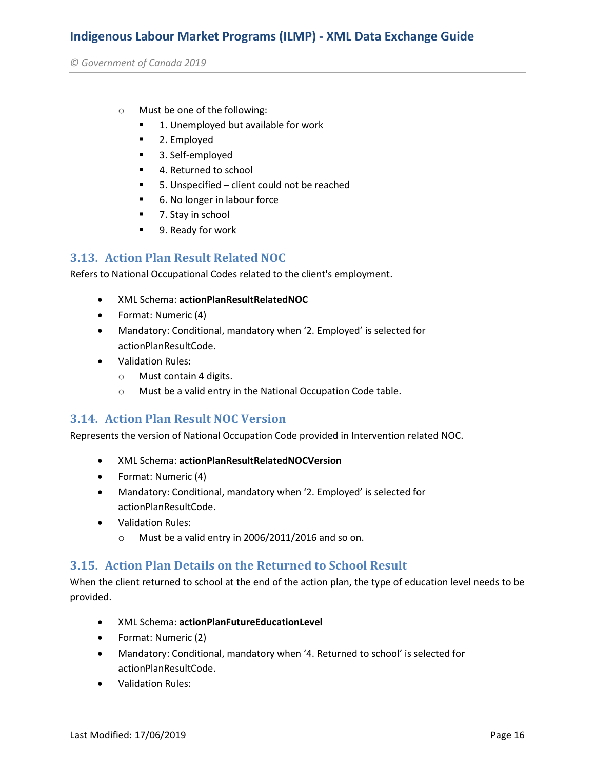*© Government of Canada 2019* 

- o Must be one of the following:
	- 1. Unemployed but available for work
	- 2. Employed
	- 3. Self-employed
	- 4. Returned to school
	- 5. Unspecified client could not be reached
	- 6. No longer in labour force
	- 7. Stay in school
	- 9. Ready for work

#### **3.13. Action Plan Result Related NOC**

Refers to National Occupational Codes related to the client's employment.

- XML Schema: **actionPlanResultRelatedNOC**
- Format: Numeric (4)
- Mandatory: Conditional, mandatory when '2. Employed' is selected for actionPlanResultCode.
- Validation Rules:
	- o Must contain 4 digits.
	- o Must be a valid entry in the National Occupation Code table.

#### **3.14. Action Plan Result NOC Version**

Represents the version of National Occupation Code provided in Intervention related NOC.

- XML Schema: **actionPlanResultRelatedNOCVersion**
- Format: Numeric (4)
- Mandatory: Conditional, mandatory when '2. Employed' is selected for actionPlanResultCode.
- Validation Rules:
	- o Must be a valid entry in 2006/2011/2016 and so on.

#### **3.15. Action Plan Details on the Returned to School Result**

When the client returned to school at the end of the action plan, the type of education level needs to be provided.

- XML Schema: **actionPlanFutureEducationLevel**
- Format: Numeric (2)
- Mandatory: Conditional, mandatory when '4. Returned to school' is selected for actionPlanResultCode.
- Validation Rules: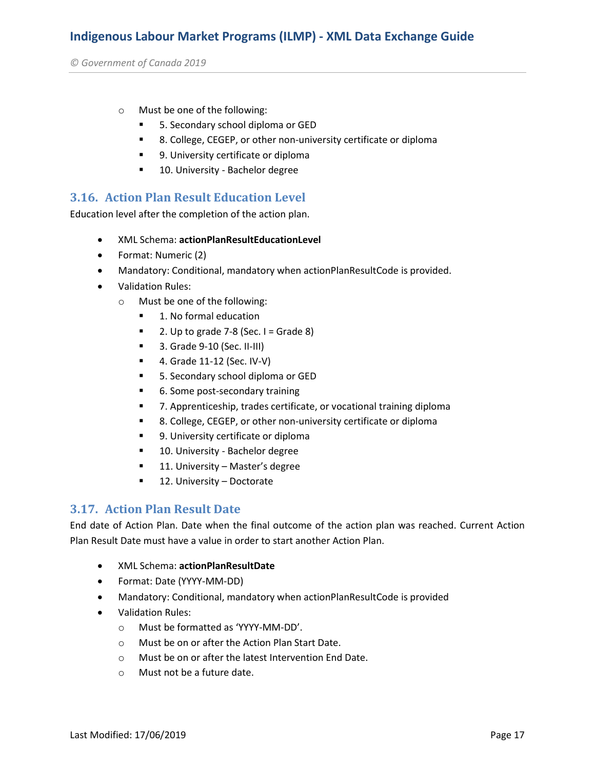*© Government of Canada 2019* 

- o Must be one of the following:
	- 5. Secondary school diploma or GED
	- 8. College, CEGEP, or other non-university certificate or diploma
	- 9. University certificate or diploma
	- **10. University Bachelor degree**

#### **3.16. Action Plan Result Education Level**

Education level after the completion of the action plan.

- XML Schema: **actionPlanResultEducationLevel**
- Format: Numeric (2)
- Mandatory: Conditional, mandatory when actionPlanResultCode is provided.
- Validation Rules:
	- o Must be one of the following:
		- 1. No formal education
		- $\blacksquare$  2. Up to grade 7-8 (Sec. I = Grade 8)
		- **3. Grade 9-10 (Sec. II-III)**
		- **4. Grade 11-12 (Sec. IV-V)**
		- 5. Secondary school diploma or GED
		- 6. Some post-secondary training
		- 7. Apprenticeship, trades certificate, or vocational training diploma
		- 8. College, CEGEP, or other non-university certificate or diploma
		- **9.** University certificate or diploma
		- **10. University Bachelor degree**
		- **11. University Master's degree**
		- 12. University Doctorate

#### **3.17. Action Plan Result Date**

End date of Action Plan. Date when the final outcome of the action plan was reached. Current Action Plan Result Date must have a value in order to start another Action Plan.

- XML Schema: **actionPlanResultDate**
- Format: Date (YYYY-MM-DD)
- Mandatory: Conditional, mandatory when actionPlanResultCode is provided
- Validation Rules:
	- o Must be formatted as 'YYYY-MM-DD'.
	- o Must be on or after the Action Plan Start Date.
	- o Must be on or after the latest Intervention End Date.
	- o Must not be a future date.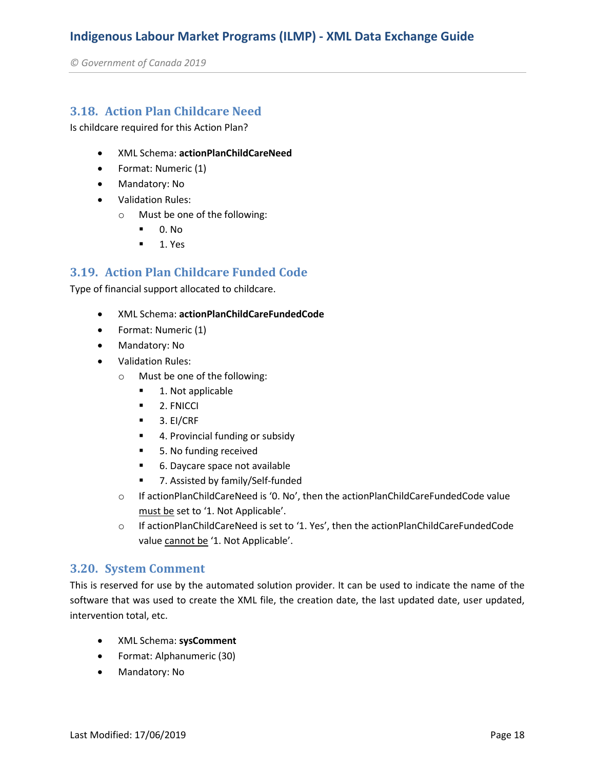*© Government of Canada 2019* 

#### **3.18. Action Plan Childcare Need**

Is childcare required for this Action Plan?

- XML Schema: **actionPlanChildCareNeed**
- Format: Numeric (1)
- Mandatory: No
- Validation Rules:
	- o Must be one of the following:
		- $\blacksquare$  0. No
		- $-1.$  Yes

#### **3.19. Action Plan Childcare Funded Code**

Type of financial support allocated to childcare.

- XML Schema: **actionPlanChildCareFundedCode**
- Format: Numeric (1)
- Mandatory: No
- Validation Rules:
	- o Must be one of the following:
		- 1. Not applicable
		- **2. FNICCI**
		- $-3.$  EI/CRF
		- 4. Provincial funding or subsidy
		- 5. No funding received
		- 6. Daycare space not available
		- 7. Assisted by family/Self-funded
	- o If actionPlanChildCareNeed is '0. No', then the actionPlanChildCareFundedCode value must be set to '1. Not Applicable'.
	- o If actionPlanChildCareNeed is set to '1. Yes', then the actionPlanChildCareFundedCode value cannot be '1. Not Applicable'.

#### **3.20. System Comment**

This is reserved for use by the automated solution provider. It can be used to indicate the name of the software that was used to create the XML file, the creation date, the last updated date, user updated, intervention total, etc.

- XML Schema: **sysComment**
- Format: Alphanumeric (30)
- Mandatory: No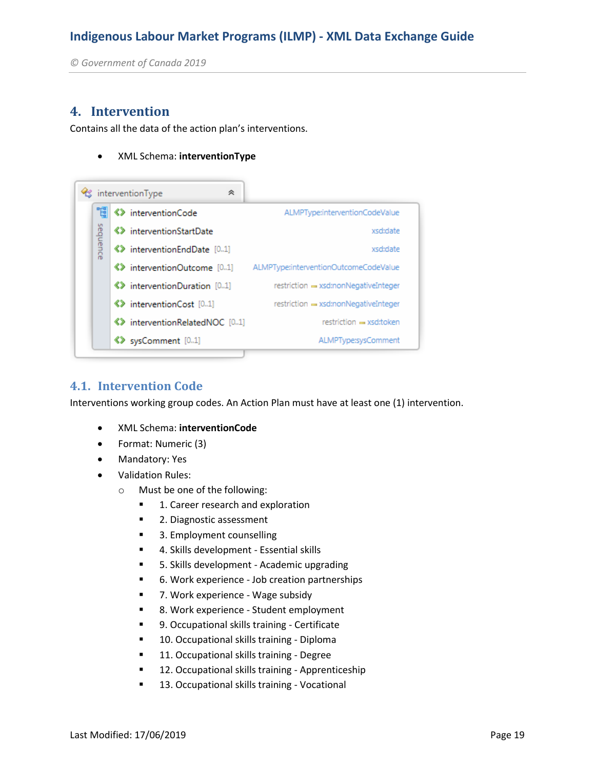*© Government of Canada 2019* 

#### **4. Intervention**

Contains all the data of the action plan's interventions.

XML Schema: **interventionType**



#### **4.1. Intervention Code**

Interventions working group codes. An Action Plan must have at least one (1) intervention.

- XML Schema: **interventionCode**
- Format: Numeric (3)
- Mandatory: Yes
- Validation Rules:
	- o Must be one of the following:
		- 1. Career research and exploration
		- 2. Diagnostic assessment
		- 3. Employment counselling
		- 4. Skills development Essential skills
		- **5. Skills development Academic upgrading**
		- 6. Work experience Job creation partnerships
		- 7. Work experience Wage subsidy
		- 8. Work experience Student employment
		- 9. Occupational skills training Certificate
		- **10. Occupational skills training Diploma**
		- **11. Occupational skills training Degree**
		- **12. Occupational skills training Apprenticeship**
		- **13. Occupational skills training Vocational**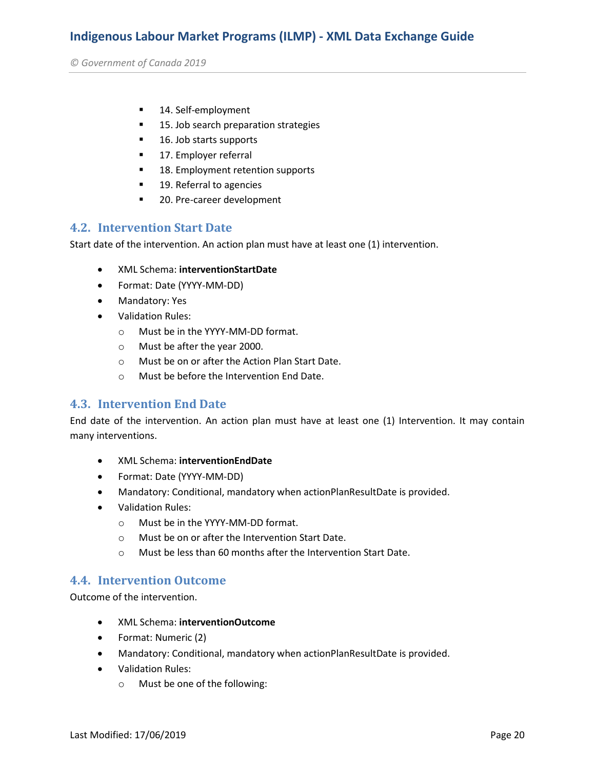*© Government of Canada 2019* 

- 14. Self-employment
- **15. Job search preparation strategies**
- 16. Job starts supports
- **17. Employer referral**
- **18. Employment retention supports**
- 19. Referral to agencies
- 20. Pre-career development

#### **4.2. Intervention Start Date**

Start date of the intervention. An action plan must have at least one (1) intervention.

- XML Schema: **interventionStartDate**
- Format: Date (YYYY-MM-DD)
- Mandatory: Yes
- Validation Rules:
	- o Must be in the YYYY-MM-DD format.
	- o Must be after the year 2000.
	- o Must be on or after the Action Plan Start Date.
	- o Must be before the Intervention End Date.

#### **4.3. Intervention End Date**

End date of the intervention. An action plan must have at least one (1) Intervention. It may contain many interventions.

- XML Schema: **interventionEndDate**
- Format: Date (YYYY-MM-DD)
- Mandatory: Conditional, mandatory when actionPlanResultDate is provided.
- Validation Rules:
	- o Must be in the YYYY-MM-DD format.
	- o Must be on or after the Intervention Start Date.
	- o Must be less than 60 months after the Intervention Start Date.

#### **4.4. Intervention Outcome**

Outcome of the intervention.

- XML Schema: **interventionOutcome**
- Format: Numeric (2)
- Mandatory: Conditional, mandatory when actionPlanResultDate is provided.
- Validation Rules:
	- o Must be one of the following: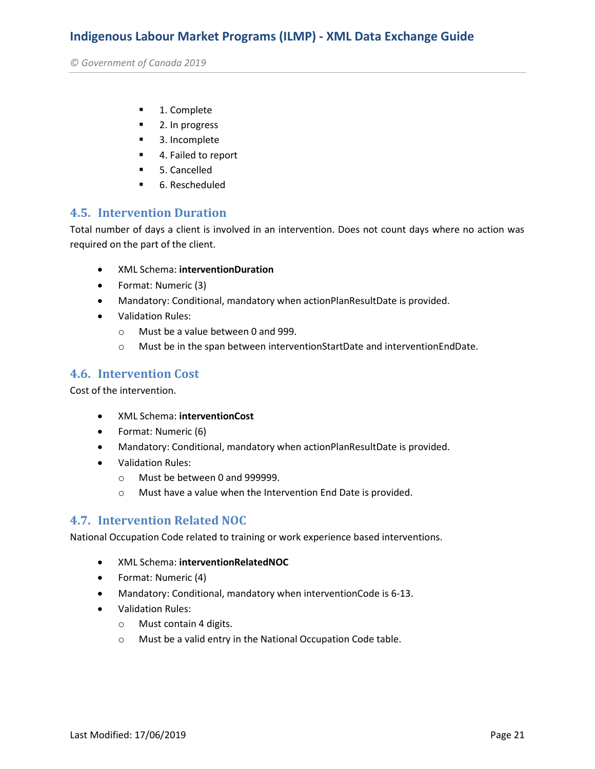*© Government of Canada 2019* 

- **1. Complete**
- 2. In progress
- 3. Incomplete
- 4. Failed to report
- **5. Cancelled**
- 6. Rescheduled

#### **4.5. Intervention Duration**

Total number of days a client is involved in an intervention. Does not count days where no action was required on the part of the client.

- XML Schema: **interventionDuration**
- Format: Numeric (3)
- Mandatory: Conditional, mandatory when actionPlanResultDate is provided.
- Validation Rules:
	- o Must be a value between 0 and 999.
	- o Must be in the span between interventionStartDate and interventionEndDate.

#### **4.6. Intervention Cost**

Cost of the intervention.

- XML Schema: **interventionCost**
- Format: Numeric (6)
- Mandatory: Conditional, mandatory when actionPlanResultDate is provided.
- Validation Rules:
	- o Must be between 0 and 999999.
	- o Must have a value when the Intervention End Date is provided.

#### **4.7. Intervention Related NOC**

National Occupation Code related to training or work experience based interventions.

- XML Schema: **interventionRelatedNOC**
- Format: Numeric (4)
- Mandatory: Conditional, mandatory when interventionCode is 6-13.
- Validation Rules:
	- o Must contain 4 digits.
	- o Must be a valid entry in the National Occupation Code table.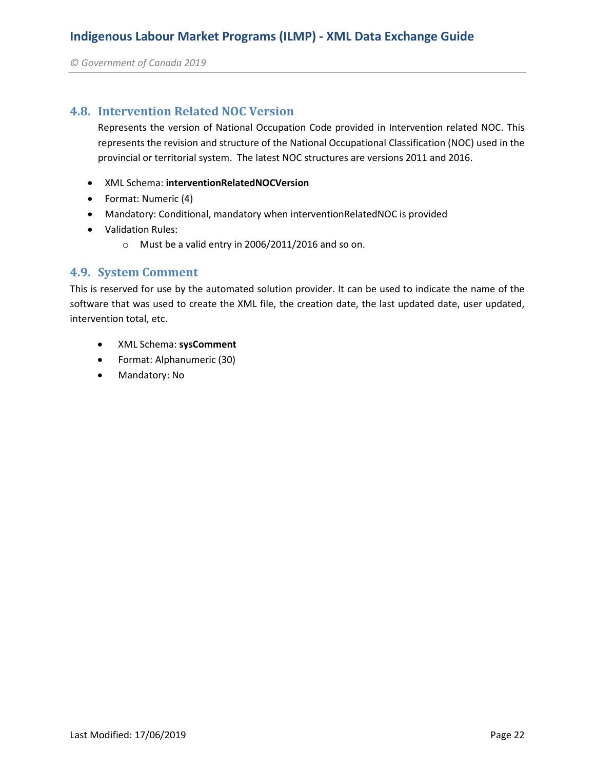*© Government of Canada 2019* 

#### **4.8. Intervention Related NOC Version**

Represents the version of National Occupation Code provided in Intervention related NOC. This represents the revision and structure of the National Occupational Classification (NOC) used in the provincial or territorial system. The latest NOC structures are versions 2011 and 2016.

- XML Schema: **interventionRelatedNOCVersion**
- Format: Numeric (4)
- Mandatory: Conditional, mandatory when interventionRelatedNOC is provided
- Validation Rules:
	- o Must be a valid entry in 2006/2011/2016 and so on.

#### **4.9. System Comment**

This is reserved for use by the automated solution provider. It can be used to indicate the name of the software that was used to create the XML file, the creation date, the last updated date, user updated, intervention total, etc.

- XML Schema: **sysComment**
- Format: Alphanumeric (30)
- Mandatory: No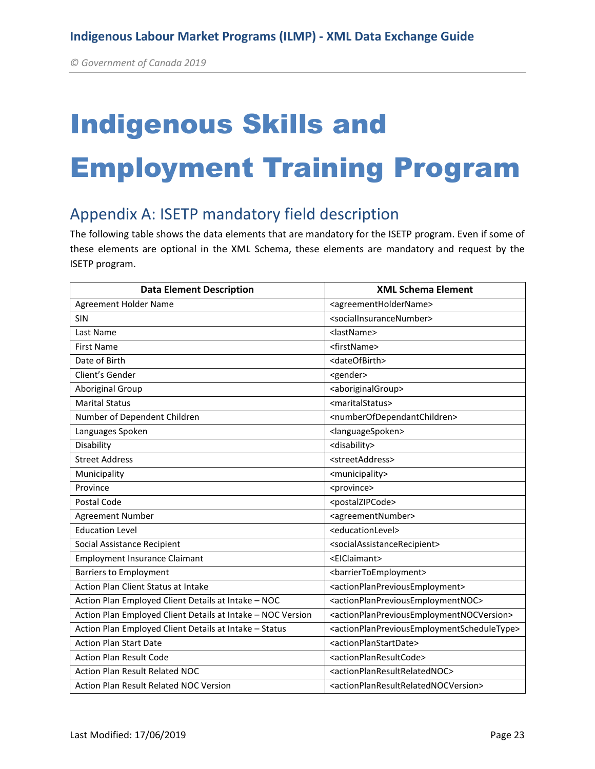# Indigenous Skills and Employment Training Program

## Appendix A: ISETP mandatory field description

The following table shows the data elements that are mandatory for the ISETP program. Even if some of these elements are optional in the XML Schema, these elements are mandatory and request by the ISETP program.

| <b>Data Element Description</b>                             | <b>XML Schema Element</b>                                                             |
|-------------------------------------------------------------|---------------------------------------------------------------------------------------|
| Agreement Holder Name                                       | <agreementholdername></agreementholdername>                                           |
| SIN                                                         | <socialinsurancenumber></socialinsurancenumber>                                       |
| Last Name                                                   | <lastname></lastname>                                                                 |
| <b>First Name</b>                                           | <firstname></firstname>                                                               |
| Date of Birth                                               | <dateofbirth></dateofbirth>                                                           |
| Client's Gender                                             | <gender></gender>                                                                     |
| Aboriginal Group                                            | <aboriginalgroup></aboriginalgroup>                                                   |
| <b>Marital Status</b>                                       | <maritalstatus></maritalstatus>                                                       |
| Number of Dependent Children                                | <numberofdependantchildren></numberofdependantchildren>                               |
| Languages Spoken                                            | <languagespoken></languagespoken>                                                     |
| Disability                                                  | <disability></disability>                                                             |
| <b>Street Address</b>                                       | <streetaddress></streetaddress>                                                       |
| Municipality                                                | <municipality></municipality>                                                         |
| Province                                                    | <province></province>                                                                 |
| Postal Code                                                 | <postalzipcode></postalzipcode>                                                       |
| <b>Agreement Number</b>                                     | <agreementnumber></agreementnumber>                                                   |
| <b>Education Level</b>                                      | <educationlevel></educationlevel>                                                     |
| Social Assistance Recipient                                 | <socialassistancerecipient></socialassistancerecipient>                               |
| <b>Employment Insurance Claimant</b>                        | <eiclaimant></eiclaimant>                                                             |
| <b>Barriers to Employment</b>                               | <barriertoemployment></barriertoemployment>                                           |
| Action Plan Client Status at Intake                         | <actionplanpreviousemployment></actionplanpreviousemployment>                         |
| Action Plan Employed Client Details at Intake - NOC         | <actionplanpreviousemploymentnoc></actionplanpreviousemploymentnoc>                   |
| Action Plan Employed Client Details at Intake - NOC Version | <actionplanpreviousemploymentnocversion></actionplanpreviousemploymentnocversion>     |
| Action Plan Employed Client Details at Intake - Status      | <actionplanpreviousemploymentscheduletype></actionplanpreviousemploymentscheduletype> |
| <b>Action Plan Start Date</b>                               | <actionplanstartdate></actionplanstartdate>                                           |
| <b>Action Plan Result Code</b>                              | <actionplanresultcode></actionplanresultcode>                                         |
| <b>Action Plan Result Related NOC</b>                       | <actionplanresultrelatednoc></actionplanresultrelatednoc>                             |
| <b>Action Plan Result Related NOC Version</b>               | <actionplanresultrelatednocversion></actionplanresultrelatednocversion>               |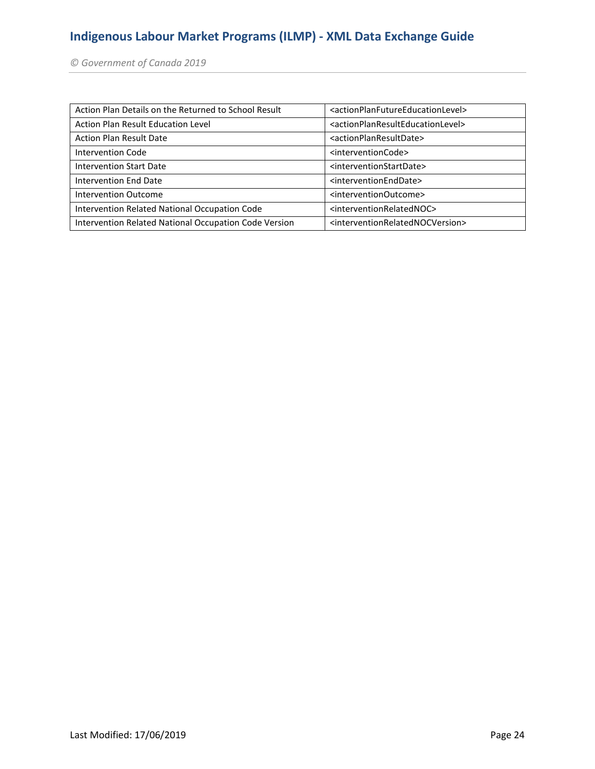*© Government of Canada 2019* 

| Action Plan Details on the Returned to School Result  | <actionplanfutureeducationlevel></actionplanfutureeducationlevel> |
|-------------------------------------------------------|-------------------------------------------------------------------|
| Action Plan Result Education Level                    | <actionplanresulteducationlevel></actionplanresulteducationlevel> |
| <b>Action Plan Result Date</b>                        | <actionplanresultdate></actionplanresultdate>                     |
| <b>Intervention Code</b>                              | <interventioncode></interventioncode>                             |
| <b>Intervention Start Date</b>                        | <interventionstartdate></interventionstartdate>                   |
| Intervention End Date                                 | <interventionenddate></interventionenddate>                       |
| Intervention Outcome                                  | <interventionoutcome></interventionoutcome>                       |
| Intervention Related National Occupation Code         | <interventionrelatednoc></interventionrelatednoc>                 |
| Intervention Related National Occupation Code Version | <interventionrelatednocversion></interventionrelatednocversion>   |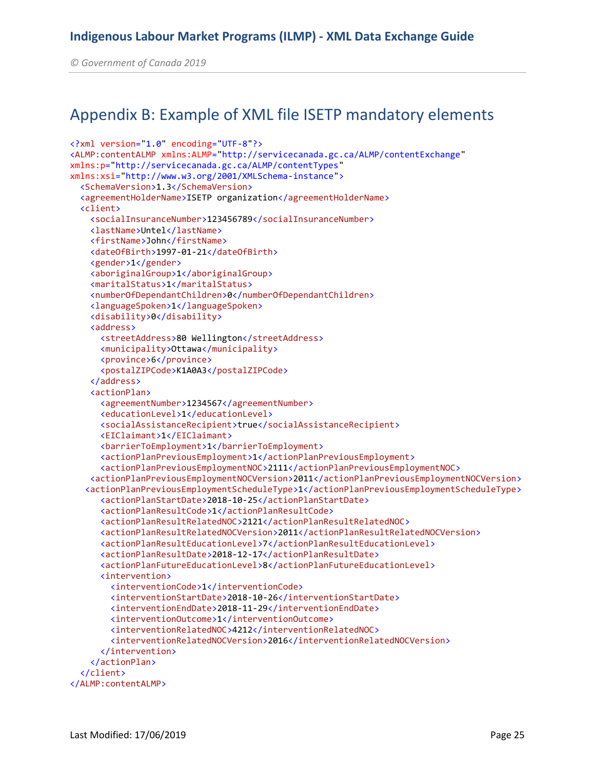*© Government of Canada 2019* 

## Appendix B: Example of XML file ISETP mandatory elements

```
<?xml version="1.0" encoding="UTF-8"?>
<ALMP:contentALMP xmlns:ALMP="http://servicecanada.gc.ca/ALMP/contentExchange"
xmlns:p="http://servicecanada.gc.ca/ALMP/contentTypes"
xmlns:xsi="http://www.w3.org/2001/XMLSchema-instance">
   <SchemaVersion>1.3</SchemaVersion>
   <agreementHolderName>ISETP organization</agreementHolderName>
   <client>
     <socialInsuranceNumber>123456789</socialInsuranceNumber>
     <lastName>Untel</lastName>
     <firstName>John</firstName>
     <dateOfBirth>1997-01-21</dateOfBirth>
     <gender>1</gender>
     <aboriginalGroup>1</aboriginalGroup>
     <maritalStatus>1</maritalStatus>
     <numberOfDependantChildren>0</numberOfDependantChildren>
     <languageSpoken>1</languageSpoken>
     <disability>0</disability>
     <address>
       <streetAddress>80 Wellington</streetAddress>
       <municipality>Ottawa</municipality>
       <province>6</province>
       <postalZIPCode>K1A0A3</postalZIPCode>
     </address>
     <actionPlan>
       <agreementNumber>1234567</agreementNumber>
       <educationLevel>1</educationLevel>
       <socialAssistanceRecipient>true</socialAssistanceRecipient>
       <EIClaimant>1</EIClaimant>
       <barrierToEmployment>1</barrierToEmployment>
       <actionPlanPreviousEmployment>1</actionPlanPreviousEmployment>
       <actionPlanPreviousEmploymentNOC>2111</actionPlanPreviousEmploymentNOC>
     <actionPlanPreviousEmploymentNOCVersion>2011</actionPlanPreviousEmploymentNOCVersion>
    <actionPlanPreviousEmploymentScheduleType>1</actionPlanPreviousEmploymentScheduleType>
       <actionPlanStartDate>2018-10-25</actionPlanStartDate>
       <actionPlanResultCode>1</actionPlanResultCode>
       <actionPlanResultRelatedNOC>2121</actionPlanResultRelatedNOC>
       <actionPlanResultRelatedNOCVersion>2011</actionPlanResultRelatedNOCVersion>
       <actionPlanResultEducationLevel>7</actionPlanResultEducationLevel>
       <actionPlanResultDate>2018-12-17</actionPlanResultDate>
       <actionPlanFutureEducationLevel>8</actionPlanFutureEducationLevel>
       <intervention>
         <interventionCode>1</interventionCode>
         <interventionStartDate>2018-10-26</interventionStartDate>
         <interventionEndDate>2018-11-29</interventionEndDate>
         <interventionOutcome>1</interventionOutcome>
         <interventionRelatedNOC>4212</interventionRelatedNOC>
         <interventionRelatedNOCVersion>2016</interventionRelatedNOCVersion>
       </intervention>
     </actionPlan>
   </client>
</ALMP:contentALMP>
```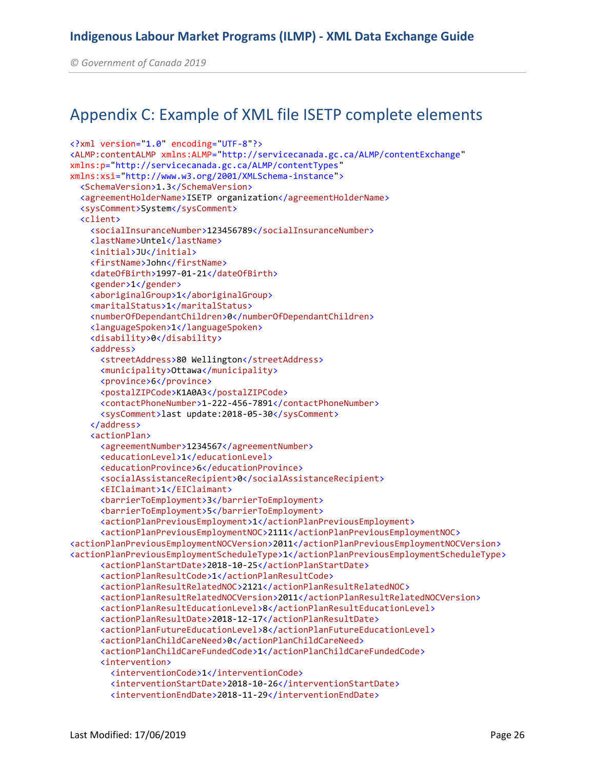*© Government of Canada 2019* 

## Appendix C: Example of XML file ISETP complete elements

```
<?xml version="1.0" encoding="UTF-8"?>
<ALMP:contentALMP xmlns:ALMP="http://servicecanada.gc.ca/ALMP/contentExchange"
xmlns:p="http://servicecanada.gc.ca/ALMP/contentTypes"
xmlns:xsi="http://www.w3.org/2001/XMLSchema-instance">
   <SchemaVersion>1.3</SchemaVersion>
   <agreementHolderName>ISETP organization</agreementHolderName>
   <sysComment>System</sysComment>
   <client>
     <socialInsuranceNumber>123456789</socialInsuranceNumber>
     <lastName>Untel</lastName>
     <initial>JU</initial>
     <firstName>John</firstName>
     <dateOfBirth>1997-01-21</dateOfBirth>
     <gender>1</gender>
     <aboriginalGroup>1</aboriginalGroup>
     <maritalStatus>1</maritalStatus>
     <numberOfDependantChildren>0</numberOfDependantChildren>
     <languageSpoken>1</languageSpoken>
     <disability>0</disability>
     <address>
       <streetAddress>80 Wellington</streetAddress>
       <municipality>Ottawa</municipality>
       <province>6</province>
       <postalZIPCode>K1A0A3</postalZIPCode>
       <contactPhoneNumber>1-222-456-7891</contactPhoneNumber>
       <sysComment>last update:2018-05-30</sysComment>
     </address>
     <actionPlan>
       <agreementNumber>1234567</agreementNumber>
       <educationLevel>1</educationLevel>
       <educationProvince>6</educationProvince>
       <socialAssistanceRecipient>0</socialAssistanceRecipient>
       <EIClaimant>1</EIClaimant>
       <barrierToEmployment>3</barrierToEmployment>
       <barrierToEmployment>5</barrierToEmployment>
       <actionPlanPreviousEmployment>1</actionPlanPreviousEmployment>
       <actionPlanPreviousEmploymentNOC>2111</actionPlanPreviousEmploymentNOC>
<actionPlanPreviousEmploymentNOCVersion>2011</actionPlanPreviousEmploymentNOCVersion>
<actionPlanPreviousEmploymentScheduleType>1</actionPlanPreviousEmploymentScheduleType>
       <actionPlanStartDate>2018-10-25</actionPlanStartDate>
       <actionPlanResultCode>1</actionPlanResultCode>
       <actionPlanResultRelatedNOC>2121</actionPlanResultRelatedNOC>
       <actionPlanResultRelatedNOCVersion>2011</actionPlanResultRelatedNOCVersion>
       <actionPlanResultEducationLevel>8</actionPlanResultEducationLevel>
       <actionPlanResultDate>2018-12-17</actionPlanResultDate>
       <actionPlanFutureEducationLevel>8</actionPlanFutureEducationLevel>
       <actionPlanChildCareNeed>0</actionPlanChildCareNeed>
       <actionPlanChildCareFundedCode>1</actionPlanChildCareFundedCode>
       <intervention>
         <interventionCode>1</interventionCode>
         <interventionStartDate>2018-10-26</interventionStartDate>
         <interventionEndDate>2018-11-29</interventionEndDate>
```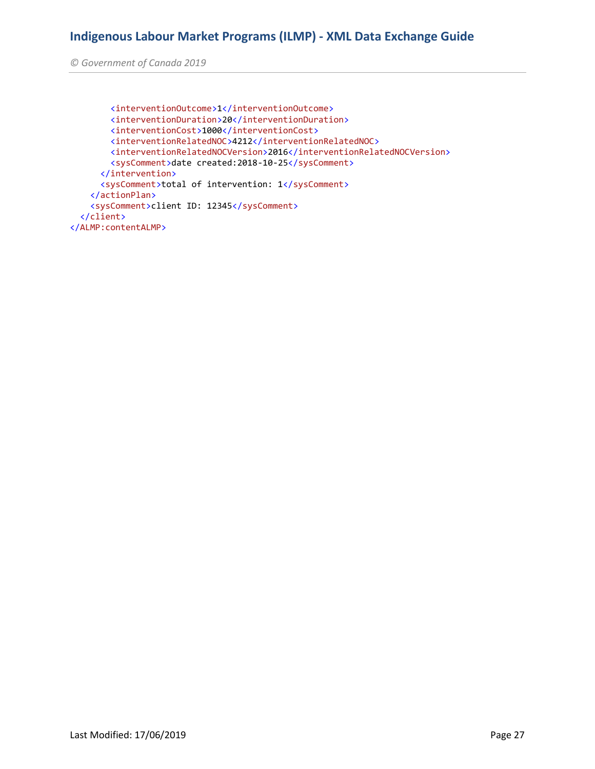*© Government of Canada 2019* 

```
 <interventionOutcome>1</interventionOutcome>
         <interventionDuration>20</interventionDuration>
         <interventionCost>1000</interventionCost>
         <interventionRelatedNOC>4212</interventionRelatedNOC>
         <interventionRelatedNOCVersion>2016</interventionRelatedNOCVersion>
         <sysComment>date created:2018-10-25</sysComment>
       </intervention>
       <sysComment>total of intervention: 1</sysComment>
     </actionPlan>
     <sysComment>client ID: 12345</sysComment>
   </client>
</ALMP:contentALMP>
```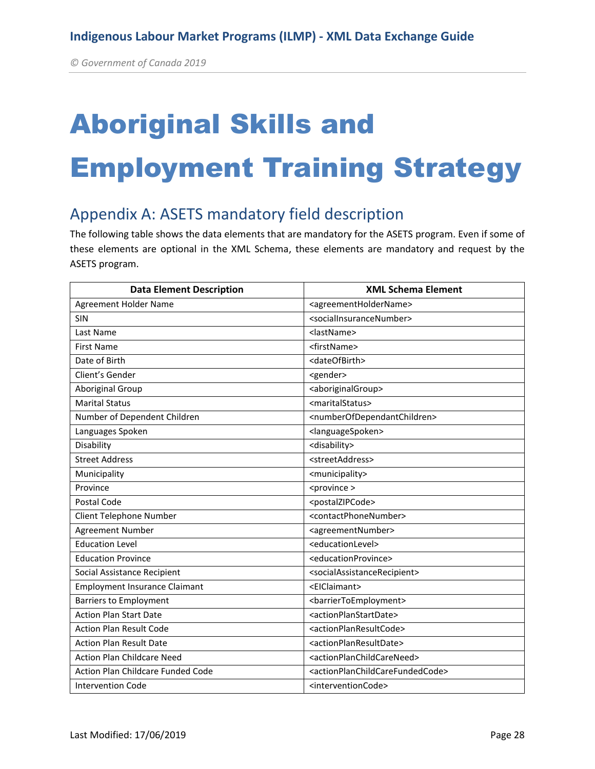# Aboriginal Skills and Employment Training Strategy

## Appendix A: ASETS mandatory field description

The following table shows the data elements that are mandatory for the ASETS program. Even if some of these elements are optional in the XML Schema, these elements are mandatory and request by the ASETS program.

| <b>Data Element Description</b>      | <b>XML Schema Element</b>                                       |
|--------------------------------------|-----------------------------------------------------------------|
| <b>Agreement Holder Name</b>         | <agreementholdername></agreementholdername>                     |
| SIN                                  | <socialinsurancenumber></socialinsurancenumber>                 |
| Last Name                            | <lastname></lastname>                                           |
| <b>First Name</b>                    | <firstname></firstname>                                         |
| Date of Birth                        | <dateofbirth></dateofbirth>                                     |
| Client's Gender                      | <gender></gender>                                               |
| Aboriginal Group                     | <aboriginalgroup></aboriginalgroup>                             |
| <b>Marital Status</b>                | <maritalstatus></maritalstatus>                                 |
| Number of Dependent Children         | <numberofdependantchildren></numberofdependantchildren>         |
| Languages Spoken                     | <languagespoken></languagespoken>                               |
| Disability                           | <disability></disability>                                       |
| <b>Street Address</b>                | <streetaddress></streetaddress>                                 |
| Municipality                         | <municipality></municipality>                                   |
| Province                             | <province></province>                                           |
| Postal Code                          | <postalzipcode></postalzipcode>                                 |
| Client Telephone Number              | <contactphonenumber></contactphonenumber>                       |
| Agreement Number                     | <agreementnumber></agreementnumber>                             |
| <b>Education Level</b>               | <educationlevel></educationlevel>                               |
| <b>Education Province</b>            | <educationprovince></educationprovince>                         |
| Social Assistance Recipient          | <socialassistancerecipient></socialassistancerecipient>         |
| <b>Employment Insurance Claimant</b> | <eiclaimant></eiclaimant>                                       |
| <b>Barriers to Employment</b>        | <barriertoemployment></barriertoemployment>                     |
| <b>Action Plan Start Date</b>        | <actionplanstartdate></actionplanstartdate>                     |
| <b>Action Plan Result Code</b>       | <actionplanresultcode></actionplanresultcode>                   |
| <b>Action Plan Result Date</b>       | <actionplanresultdate></actionplanresultdate>                   |
| <b>Action Plan Childcare Need</b>    | <actionplanchildcareneed></actionplanchildcareneed>             |
| Action Plan Childcare Funded Code    | <actionplanchildcarefundedcode></actionplanchildcarefundedcode> |
| <b>Intervention Code</b>             | <interventioncode></interventioncode>                           |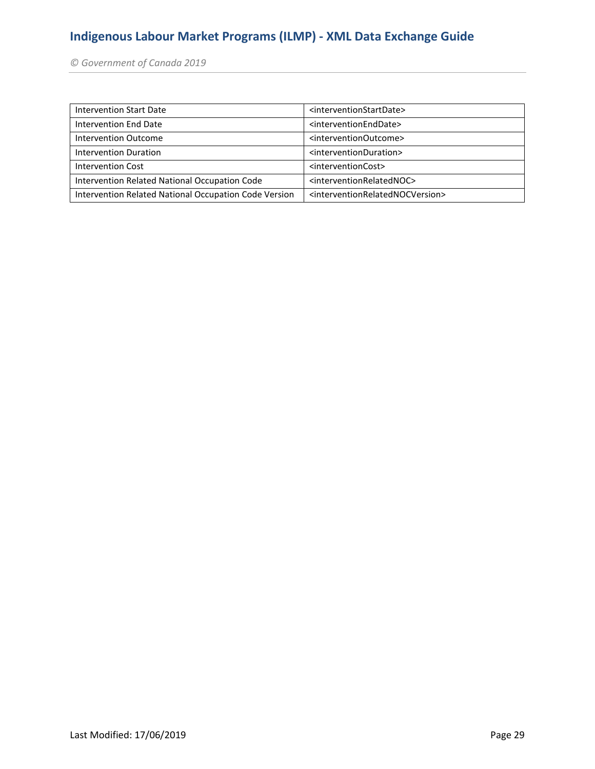*© Government of Canada 2019* 

| Intervention Start Date                               | <interventionstartdate></interventionstartdate>                 |
|-------------------------------------------------------|-----------------------------------------------------------------|
| Intervention End Date                                 | <interventionenddate></interventionenddate>                     |
| Intervention Outcome                                  | <interventionoutcome></interventionoutcome>                     |
| Intervention Duration                                 | <interventionduration></interventionduration>                   |
| <b>Intervention Cost</b>                              | <interventioncost></interventioncost>                           |
| Intervention Related National Occupation Code         | <interventionrelatednoc></interventionrelatednoc>               |
| Intervention Related National Occupation Code Version | <interventionrelatednocversion></interventionrelatednocversion> |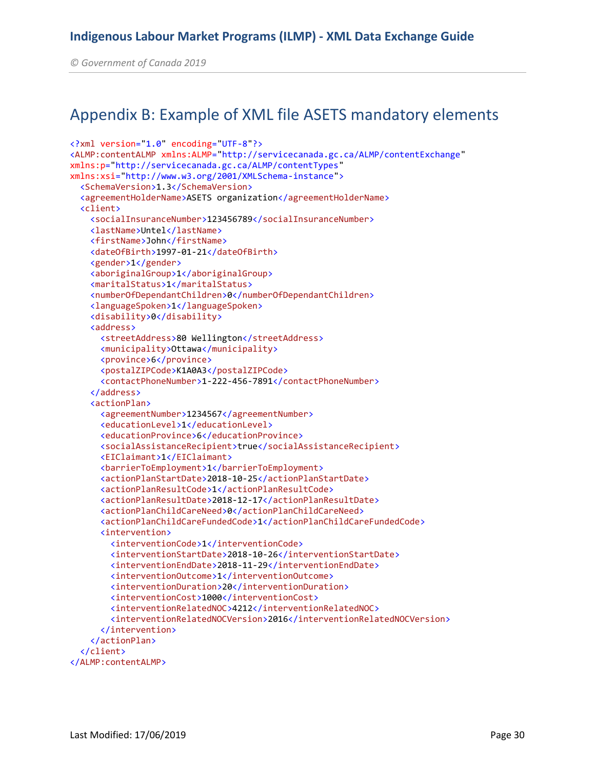*© Government of Canada 2019* 

## Appendix B: Example of XML file ASETS mandatory elements

```
<?xml version="1.0" encoding="UTF-8"?>
<ALMP:contentALMP xmlns:ALMP="http://servicecanada.gc.ca/ALMP/contentExchange"
xmlns:p="http://servicecanada.gc.ca/ALMP/contentTypes"
xmlns:xsi="http://www.w3.org/2001/XMLSchema-instance">
   <SchemaVersion>1.3</SchemaVersion>
   <agreementHolderName>ASETS organization</agreementHolderName>
   <client>
     <socialInsuranceNumber>123456789</socialInsuranceNumber>
     <lastName>Untel</lastName>
     <firstName>John</firstName>
     <dateOfBirth>1997-01-21</dateOfBirth>
     <gender>1</gender>
     <aboriginalGroup>1</aboriginalGroup>
     <maritalStatus>1</maritalStatus>
     <numberOfDependantChildren>0</numberOfDependantChildren>
     <languageSpoken>1</languageSpoken>
     <disability>0</disability>
     <address>
       <streetAddress>80 Wellington</streetAddress>
       <municipality>Ottawa</municipality>
       <province>6</province>
       <postalZIPCode>K1A0A3</postalZIPCode>
       <contactPhoneNumber>1-222-456-7891</contactPhoneNumber>
     </address>
     <actionPlan>
       <agreementNumber>1234567</agreementNumber>
       <educationLevel>1</educationLevel>
       <educationProvince>6</educationProvince>
       <socialAssistanceRecipient>true</socialAssistanceRecipient>
       <EIClaimant>1</EIClaimant>
       <barrierToEmployment>1</barrierToEmployment>
       <actionPlanStartDate>2018-10-25</actionPlanStartDate>
       <actionPlanResultCode>1</actionPlanResultCode>
       <actionPlanResultDate>2018-12-17</actionPlanResultDate>
       <actionPlanChildCareNeed>0</actionPlanChildCareNeed>
       <actionPlanChildCareFundedCode>1</actionPlanChildCareFundedCode>
       <intervention>
         <interventionCode>1</interventionCode>
         <interventionStartDate>2018-10-26</interventionStartDate>
         <interventionEndDate>2018-11-29</interventionEndDate>
         <interventionOutcome>1</interventionOutcome>
         <interventionDuration>20</interventionDuration>
         <interventionCost>1000</interventionCost>
        <interventionRelatedNOC>4212</interventionRelatedNOC>
         <interventionRelatedNOCVersion>2016</interventionRelatedNOCVersion>
       </intervention>
     </actionPlan>
   </client>
</ALMP:contentALMP>
```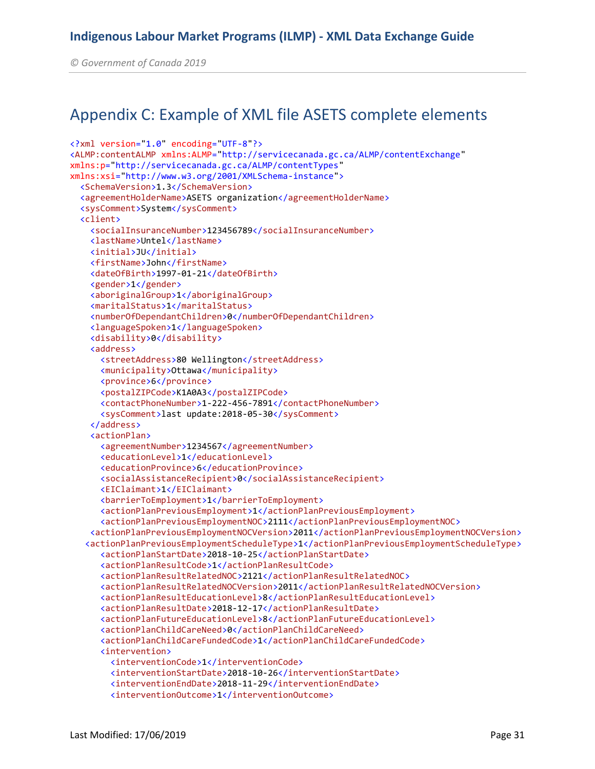*© Government of Canada 2019* 

## Appendix C: Example of XML file ASETS complete elements

```
<?xml version="1.0" encoding="UTF-8"?>
<ALMP:contentALMP xmlns:ALMP="http://servicecanada.gc.ca/ALMP/contentExchange"
xmlns:p="http://servicecanada.gc.ca/ALMP/contentTypes"
xmlns:xsi="http://www.w3.org/2001/XMLSchema-instance">
   <SchemaVersion>1.3</SchemaVersion>
   <agreementHolderName>ASETS organization</agreementHolderName>
   <sysComment>System</sysComment>
   <client>
     <socialInsuranceNumber>123456789</socialInsuranceNumber>
     <lastName>Untel</lastName>
     <initial>JU</initial>
     <firstName>John</firstName>
     <dateOfBirth>1997-01-21</dateOfBirth>
     <gender>1</gender>
     <aboriginalGroup>1</aboriginalGroup>
     <maritalStatus>1</maritalStatus>
     <numberOfDependantChildren>0</numberOfDependantChildren>
     <languageSpoken>1</languageSpoken>
     <disability>0</disability>
     <address>
       <streetAddress>80 Wellington</streetAddress>
       <municipality>Ottawa</municipality>
       <province>6</province>
       <postalZIPCode>K1A0A3</postalZIPCode>
       <contactPhoneNumber>1-222-456-7891</contactPhoneNumber>
       <sysComment>last update:2018-05-30</sysComment>
     </address>
     <actionPlan>
       <agreementNumber>1234567</agreementNumber>
       <educationLevel>1</educationLevel>
       <educationProvince>6</educationProvince>
       <socialAssistanceRecipient>0</socialAssistanceRecipient>
       <EIClaimant>1</EIClaimant>
       <barrierToEmployment>1</barrierToEmployment>
       <actionPlanPreviousEmployment>1</actionPlanPreviousEmployment>
       <actionPlanPreviousEmploymentNOC>2111</actionPlanPreviousEmploymentNOC>
     <actionPlanPreviousEmploymentNOCVersion>2011</actionPlanPreviousEmploymentNOCVersion>
    <actionPlanPreviousEmploymentScheduleType>1</actionPlanPreviousEmploymentScheduleType>
       <actionPlanStartDate>2018-10-25</actionPlanStartDate>
       <actionPlanResultCode>1</actionPlanResultCode>
       <actionPlanResultRelatedNOC>2121</actionPlanResultRelatedNOC>
       <actionPlanResultRelatedNOCVersion>2011</actionPlanResultRelatedNOCVersion>
       <actionPlanResultEducationLevel>8</actionPlanResultEducationLevel>
       <actionPlanResultDate>2018-12-17</actionPlanResultDate>
       <actionPlanFutureEducationLevel>8</actionPlanFutureEducationLevel>
       <actionPlanChildCareNeed>0</actionPlanChildCareNeed>
       <actionPlanChildCareFundedCode>1</actionPlanChildCareFundedCode>
       <intervention>
         <interventionCode>1</interventionCode>
         <interventionStartDate>2018-10-26</interventionStartDate>
         <interventionEndDate>2018-11-29</interventionEndDate>
         <interventionOutcome>1</interventionOutcome>
```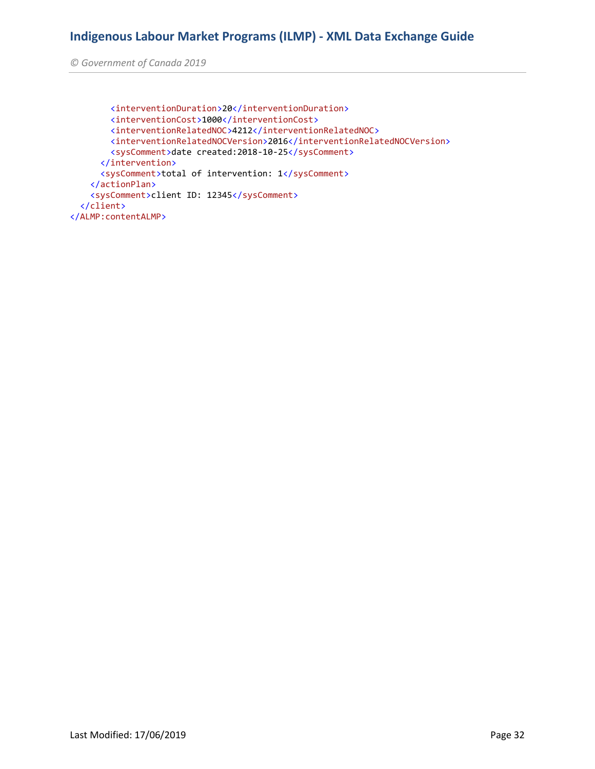*© Government of Canada 2019* 

```
 <interventionDuration>20</interventionDuration>
         <interventionCost>1000</interventionCost>
         <interventionRelatedNOC>4212</interventionRelatedNOC>
        <interventionRelatedNOCVersion>2016</interventionRelatedNOCVersion>
        <sysComment>date created:2018-10-25</sysComment>
       </intervention>
       <sysComment>total of intervention: 1</sysComment>
    </actionPlan>
    <sysComment>client ID: 12345</sysComment>
   </client>
</ALMP:contentALMP>
```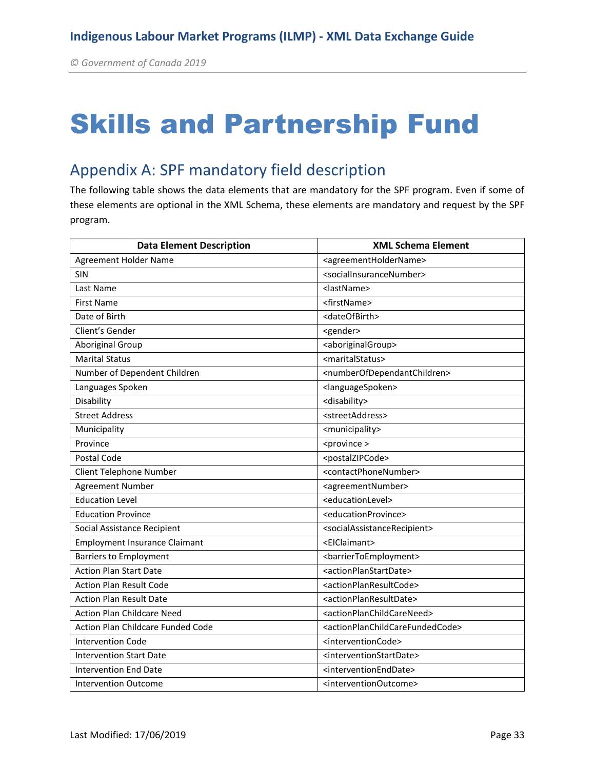## Skills and Partnership Fund

## Appendix A: SPF mandatory field description

The following table shows the data elements that are mandatory for the SPF program. Even if some of these elements are optional in the XML Schema, these elements are mandatory and request by the SPF program.

| <b>Data Element Description</b>      | <b>XML Schema Element</b>                                       |
|--------------------------------------|-----------------------------------------------------------------|
| Agreement Holder Name                | <agreementholdername></agreementholdername>                     |
| <b>SIN</b>                           | <socialinsurancenumber></socialinsurancenumber>                 |
| Last Name                            | <lastname></lastname>                                           |
| <b>First Name</b>                    | <firstname></firstname>                                         |
| Date of Birth                        | <dateofbirth></dateofbirth>                                     |
| Client's Gender                      | <gender></gender>                                               |
| <b>Aboriginal Group</b>              | <aboriginalgroup></aboriginalgroup>                             |
| <b>Marital Status</b>                | <maritalstatus></maritalstatus>                                 |
| Number of Dependent Children         | <numberofdependantchildren></numberofdependantchildren>         |
| Languages Spoken                     | <languagespoken></languagespoken>                               |
| Disability                           | <disability></disability>                                       |
| <b>Street Address</b>                | <streetaddress></streetaddress>                                 |
| Municipality                         | <municipality></municipality>                                   |
| Province                             | <province></province>                                           |
| Postal Code                          | <postalzipcode></postalzipcode>                                 |
| Client Telephone Number              | <contactphonenumber></contactphonenumber>                       |
| <b>Agreement Number</b>              | <agreementnumber></agreementnumber>                             |
| <b>Education Level</b>               | <educationlevel></educationlevel>                               |
| <b>Education Province</b>            | <educationprovince></educationprovince>                         |
| Social Assistance Recipient          | <socialassistancerecipient></socialassistancerecipient>         |
| <b>Employment Insurance Claimant</b> | <eiclaimant></eiclaimant>                                       |
| <b>Barriers to Employment</b>        | <barriertoemployment></barriertoemployment>                     |
| <b>Action Plan Start Date</b>        | <actionplanstartdate></actionplanstartdate>                     |
| <b>Action Plan Result Code</b>       | <actionplanresultcode></actionplanresultcode>                   |
| <b>Action Plan Result Date</b>       | <actionplanresultdate></actionplanresultdate>                   |
| <b>Action Plan Childcare Need</b>    | <actionplanchildcareneed></actionplanchildcareneed>             |
| Action Plan Childcare Funded Code    | <actionplanchildcarefundedcode></actionplanchildcarefundedcode> |
| <b>Intervention Code</b>             | <interventioncode></interventioncode>                           |
| <b>Intervention Start Date</b>       | <interventionstartdate></interventionstartdate>                 |
| <b>Intervention End Date</b>         | <interventionenddate></interventionenddate>                     |
| <b>Intervention Outcome</b>          | <interventionoutcome></interventionoutcome>                     |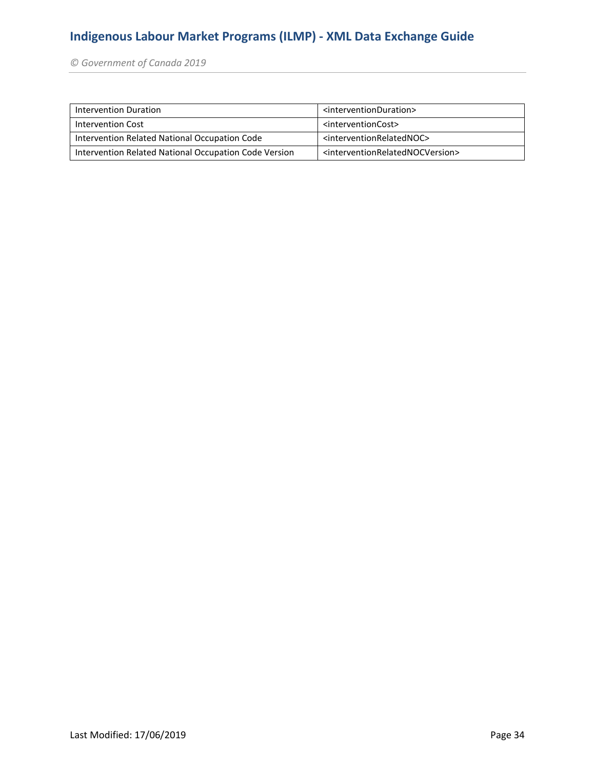*© Government of Canada 2019* 

| Intervention Duration                                 | <interventionduration></interventionduration>                   |
|-------------------------------------------------------|-----------------------------------------------------------------|
| Intervention Cost                                     | <interventioncost></interventioncost>                           |
| Intervention Related National Occupation Code         | <interventionrelatednoc></interventionrelatednoc>               |
| Intervention Related National Occupation Code Version | <interventionrelatednocversion></interventionrelatednocversion> |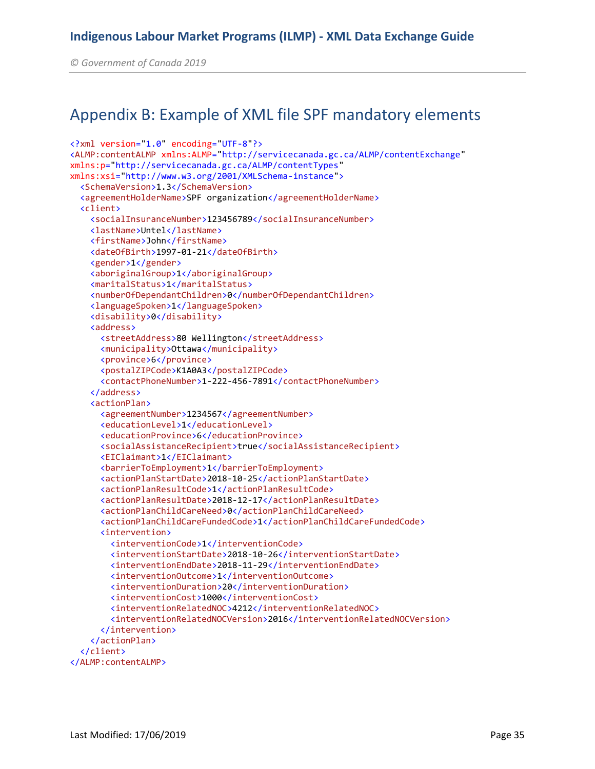*© Government of Canada 2019* 

### Appendix B: Example of XML file SPF mandatory elements

```
<?xml version="1.0" encoding="UTF-8"?>
<ALMP:contentALMP xmlns:ALMP="http://servicecanada.gc.ca/ALMP/contentExchange"
xmlns:p="http://servicecanada.gc.ca/ALMP/contentTypes"
xmlns:xsi="http://www.w3.org/2001/XMLSchema-instance">
   <SchemaVersion>1.3</SchemaVersion>
   <agreementHolderName>SPF organization</agreementHolderName>
   <client>
     <socialInsuranceNumber>123456789</socialInsuranceNumber>
     <lastName>Untel</lastName>
     <firstName>John</firstName>
     <dateOfBirth>1997-01-21</dateOfBirth>
     <gender>1</gender>
     <aboriginalGroup>1</aboriginalGroup>
     <maritalStatus>1</maritalStatus>
     <numberOfDependantChildren>0</numberOfDependantChildren>
     <languageSpoken>1</languageSpoken>
     <disability>0</disability>
     <address>
       <streetAddress>80 Wellington</streetAddress>
       <municipality>Ottawa</municipality>
       <province>6</province>
       <postalZIPCode>K1A0A3</postalZIPCode>
       <contactPhoneNumber>1-222-456-7891</contactPhoneNumber>
     </address>
     <actionPlan>
       <agreementNumber>1234567</agreementNumber>
       <educationLevel>1</educationLevel>
       <educationProvince>6</educationProvince>
       <socialAssistanceRecipient>true</socialAssistanceRecipient>
       <EIClaimant>1</EIClaimant>
       <barrierToEmployment>1</barrierToEmployment>
       <actionPlanStartDate>2018-10-25</actionPlanStartDate>
       <actionPlanResultCode>1</actionPlanResultCode>
       <actionPlanResultDate>2018-12-17</actionPlanResultDate>
       <actionPlanChildCareNeed>0</actionPlanChildCareNeed>
       <actionPlanChildCareFundedCode>1</actionPlanChildCareFundedCode>
       <intervention>
         <interventionCode>1</interventionCode>
         <interventionStartDate>2018-10-26</interventionStartDate>
         <interventionEndDate>2018-11-29</interventionEndDate>
         <interventionOutcome>1</interventionOutcome>
         <interventionDuration>20</interventionDuration>
         <interventionCost>1000</interventionCost>
         <interventionRelatedNOC>4212</interventionRelatedNOC>
         <interventionRelatedNOCVersion>2016</interventionRelatedNOCVersion>
       </intervention>
     </actionPlan>
   </client>
</ALMP:contentALMP>
```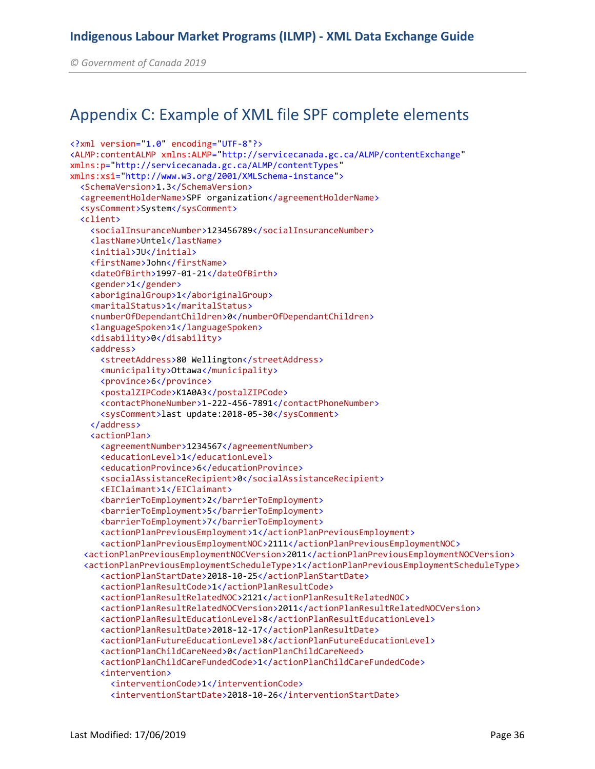*© Government of Canada 2019* 

## Appendix C: Example of XML file SPF complete elements

```
<?xml version="1.0" encoding="UTF-8"?>
<ALMP:contentALMP xmlns:ALMP="http://servicecanada.gc.ca/ALMP/contentExchange"
xmlns:p="http://servicecanada.gc.ca/ALMP/contentTypes"
xmlns:xsi="http://www.w3.org/2001/XMLSchema-instance">
   <SchemaVersion>1.3</SchemaVersion>
   <agreementHolderName>SPF organization</agreementHolderName>
   <sysComment>System</sysComment>
   <client>
     <socialInsuranceNumber>123456789</socialInsuranceNumber>
     <lastName>Untel</lastName>
     <initial>JU</initial>
     <firstName>John</firstName>
     <dateOfBirth>1997-01-21</dateOfBirth>
     <gender>1</gender>
     <aboriginalGroup>1</aboriginalGroup>
     <maritalStatus>1</maritalStatus>
     <numberOfDependantChildren>0</numberOfDependantChildren>
     <languageSpoken>1</languageSpoken>
     <disability>0</disability>
     <address>
       <streetAddress>80 Wellington</streetAddress>
       <municipality>Ottawa</municipality>
       <province>6</province>
       <postalZIPCode>K1A0A3</postalZIPCode>
       <contactPhoneNumber>1-222-456-7891</contactPhoneNumber>
       <sysComment>last update:2018-05-30</sysComment>
     </address>
     <actionPlan>
       <agreementNumber>1234567</agreementNumber>
       <educationLevel>1</educationLevel>
       <educationProvince>6</educationProvince>
       <socialAssistanceRecipient>0</socialAssistanceRecipient>
       <EIClaimant>1</EIClaimant>
       <barrierToEmployment>2</barrierToEmployment>
       <barrierToEmployment>5</barrierToEmployment>
       <barrierToEmployment>7</barrierToEmployment>
       <actionPlanPreviousEmployment>1</actionPlanPreviousEmployment>
       <actionPlanPreviousEmploymentNOC>2111</actionPlanPreviousEmploymentNOC>
  <actionPlanPreviousEmploymentNOCVersion>2011</actionPlanPreviousEmploymentNOCVersion>
  <actionPlanPreviousEmploymentScheduleType>1</actionPlanPreviousEmploymentScheduleType>
       <actionPlanStartDate>2018-10-25</actionPlanStartDate>
       <actionPlanResultCode>1</actionPlanResultCode>
       <actionPlanResultRelatedNOC>2121</actionPlanResultRelatedNOC>
       <actionPlanResultRelatedNOCVersion>2011</actionPlanResultRelatedNOCVersion>
       <actionPlanResultEducationLevel>8</actionPlanResultEducationLevel>
       <actionPlanResultDate>2018-12-17</actionPlanResultDate>
       <actionPlanFutureEducationLevel>8</actionPlanFutureEducationLevel>
       <actionPlanChildCareNeed>0</actionPlanChildCareNeed>
       <actionPlanChildCareFundedCode>1</actionPlanChildCareFundedCode>
       <intervention>
         <interventionCode>1</interventionCode>
         <interventionStartDate>2018-10-26</interventionStartDate>
```